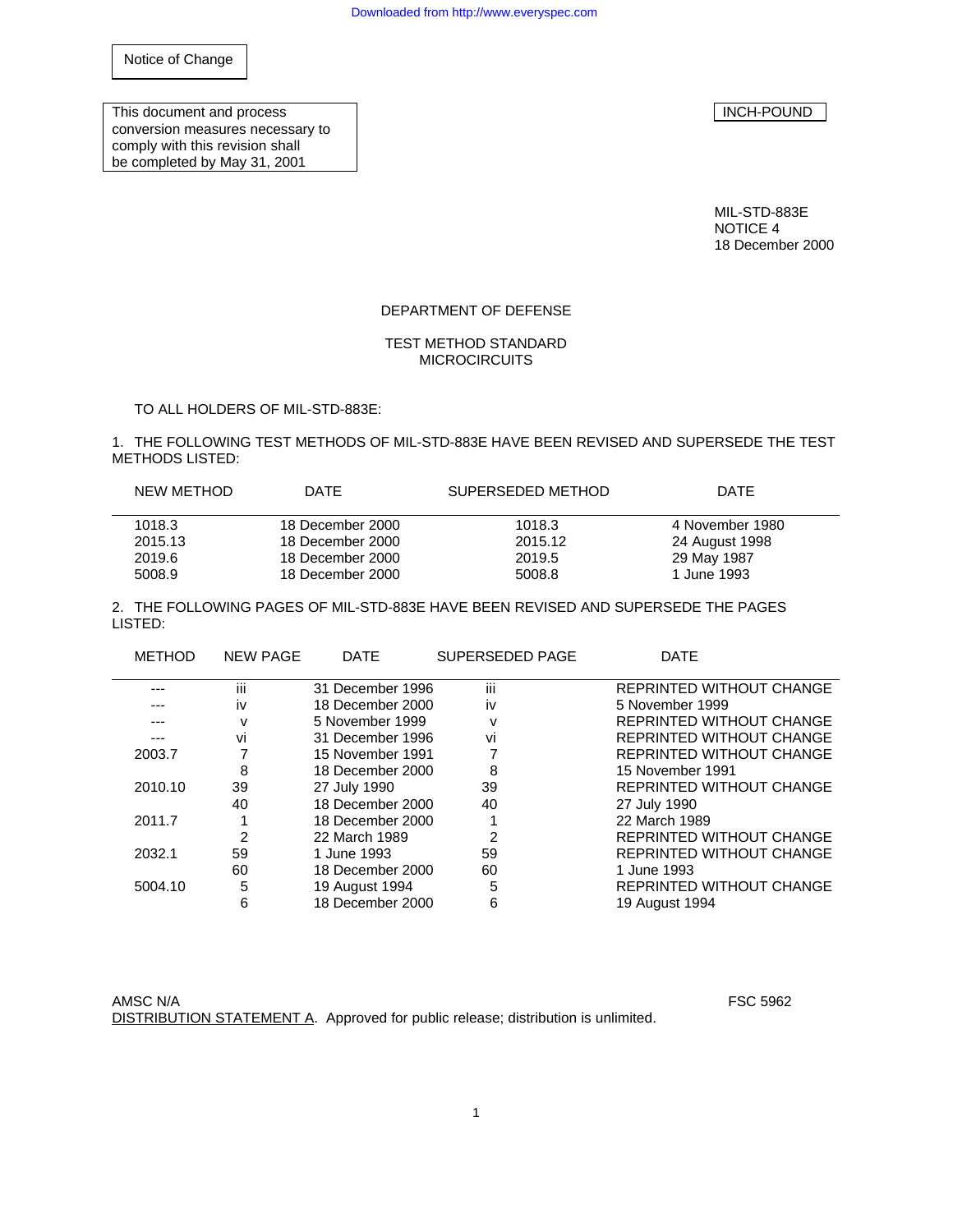Notice of Change

This document and process **INCH-POUND** conversion measures necessary to comply with this revision shall be completed by May 31, 2001

MIL-STD-883E NOTICE 4 18 December 2000

# DEPARTMENT OF DEFENSE

# TEST METHOD STANDARD **MICROCIRCUITS**

# TO ALL HOLDERS OF MIL-STD-883E:

# 1. THE FOLLOWING TEST METHODS OF MIL-STD-883E HAVE BEEN REVISED AND SUPERSEDE THE TEST METHODS LISTED:

| NEW METHOD | <b>DATE</b>      | SUPERSEDED METHOD | DATE            |
|------------|------------------|-------------------|-----------------|
| 1018.3     | 18 December 2000 | 1018.3            | 4 November 1980 |
| 2015.13    | 18 December 2000 | 2015.12           | 24 August 1998  |
| 2019.6     | 18 December 2000 | 2019.5            | 29 May 1987     |
| 5008.9     | 18 December 2000 | 5008.8            | 1 June 1993     |

2. THE FOLLOWING PAGES OF MIL-STD-883E HAVE BEEN REVISED AND SUPERSEDE THE PAGES LISTED:

| <b>METHOD</b> | <b>NEW PAGE</b> | <b>DATE</b>      | SUPERSEDED PAGE | DATE                            |
|---------------|-----------------|------------------|-----------------|---------------------------------|
|               | iii             | 31 December 1996 | iii             | REPRINTED WITHOUT CHANGE        |
|               | iv              | 18 December 2000 | iv              | 5 November 1999                 |
|               | $\mathsf{v}$    | 5 November 1999  | v               | <b>REPRINTED WITHOUT CHANGE</b> |
|               | vi              | 31 December 1996 | vi              | <b>REPRINTED WITHOUT CHANGE</b> |
| 2003.7        |                 | 15 November 1991 |                 | REPRINTED WITHOUT CHANGE        |
|               | 8               | 18 December 2000 | 8               | 15 November 1991                |
| 2010.10       | 39              | 27 July 1990     | 39              | REPRINTED WITHOUT CHANGE        |
|               | 40              | 18 December 2000 | 40              | 27 July 1990                    |
| 2011.7        |                 | 18 December 2000 |                 | 22 March 1989                   |
|               | 2               | 22 March 1989    | 2               | <b>REPRINTED WITHOUT CHANGE</b> |
| 2032.1        | 59              | 1 June 1993      | 59              | <b>REPRINTED WITHOUT CHANGE</b> |
|               | 60              | 18 December 2000 | 60              | 1 June 1993                     |
| 5004.10       | 5               | 19 August 1994   | 5               | <b>REPRINTED WITHOUT CHANGE</b> |
|               | 6               | 18 December 2000 | 6               | 19 August 1994                  |
|               |                 |                  |                 |                                 |

AMSC N/A FSC 5962 DISTRIBUTION STATEMENT A. Approved for public release; distribution is unlimited.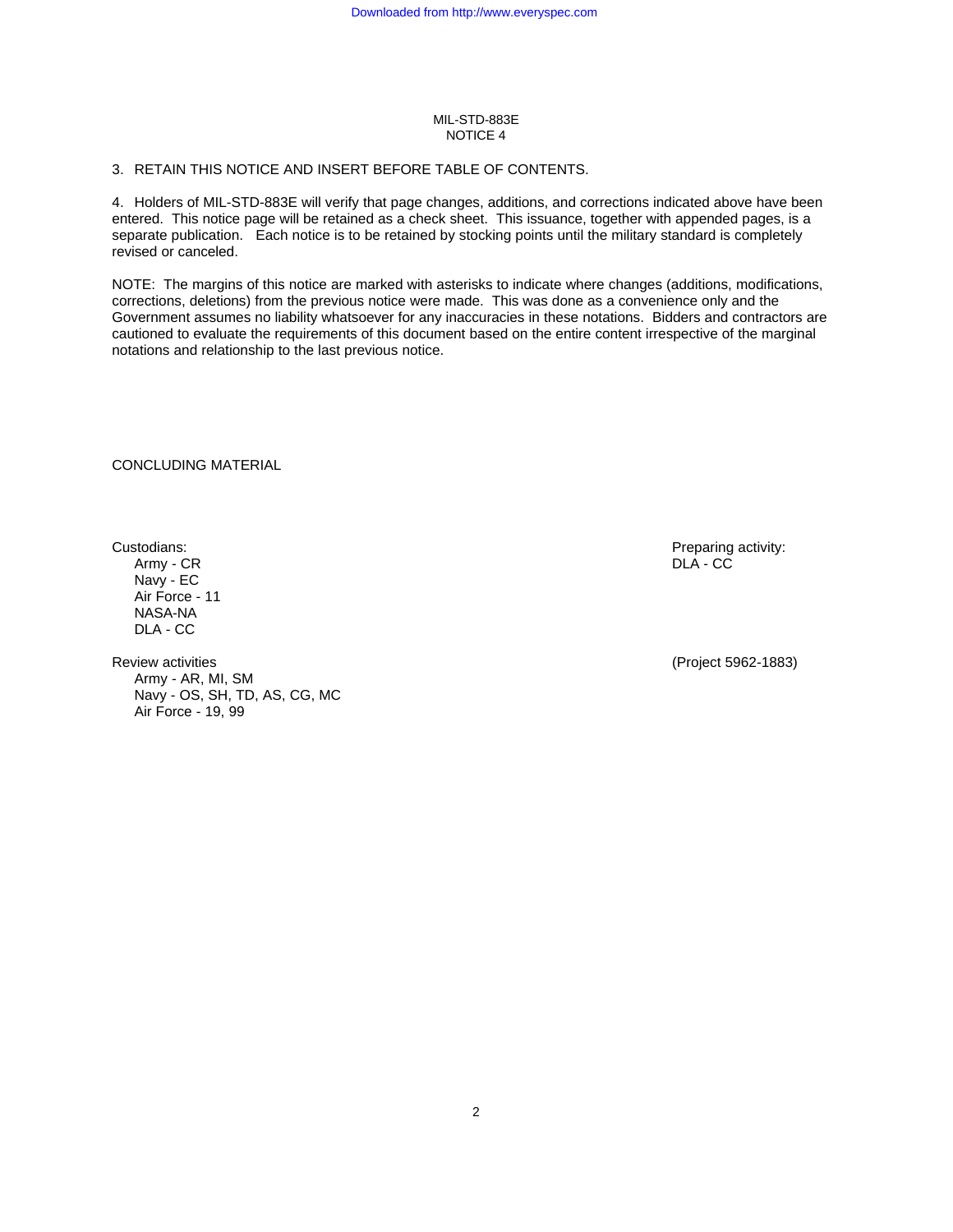# 3. RETAIN THIS NOTICE AND INSERT BEFORE TABLE OF CONTENTS.

4. Holders of MIL-STD-883E will verify that page changes, additions, and corrections indicated above have been entered. This notice page will be retained as a check sheet. This issuance, together with appended pages, is a separate publication. Each notice is to be retained by stocking points until the military standard is completely revised or canceled.

NOTE: The margins of this notice are marked with asterisks to indicate where changes (additions, modifications, corrections, deletions) from the previous notice were made. This was done as a convenience only and the Government assumes no liability whatsoever for any inaccuracies in these notations. Bidders and contractors are cautioned to evaluate the requirements of this document based on the entire content irrespective of the marginal notations and relationship to the last previous notice.

# CONCLUDING MATERIAL

Army - CR DLA - CC Navy - EC Air Force - 11 NASA-NA DLA - CC

Review activities (Project 5962-1883) Army - AR, MI, SM Navy - OS, SH, TD, AS, CG, MC Air Force - 19, 99

Custodians: Preparing activity: Army - CR and DLA - CC Preparing activity: Preparing activity: Preparing activity: Preparing activity: Preparing activity: Preparing activity: Preparing activity: Preparing activity: Prepari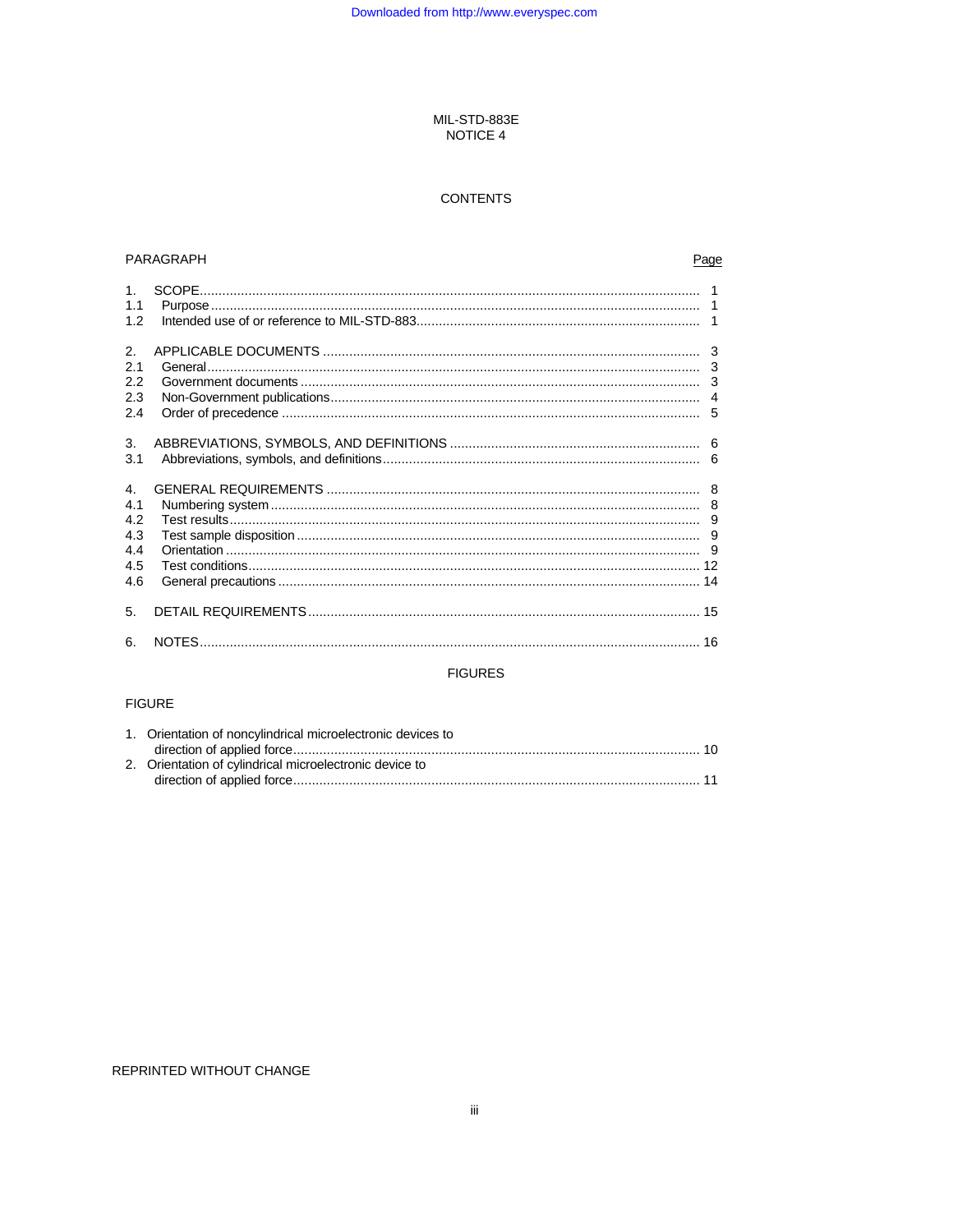# **CONTENTS**

# PARAGRAPH

# Page

| 1 <sub>1</sub><br>1.1<br>1.2                             |  |
|----------------------------------------------------------|--|
| 2.<br>2.1<br>2.2<br>2.3<br>2.4                           |  |
| 3.<br>3.1                                                |  |
| 4 <sup>1</sup><br>4.1<br>4.2<br>4.3<br>4.4<br>4.5<br>4.6 |  |
| 5.                                                       |  |
| 6.                                                       |  |

# **FIGURES**

# **FIGURE**

| 1. Orientation of noncylindrical microelectronic devices to |  |
|-------------------------------------------------------------|--|
|                                                             |  |
| 2. Orientation of cylindrical microelectronic device to     |  |
|                                                             |  |
|                                                             |  |

# REPRINTED WITHOUT CHANGE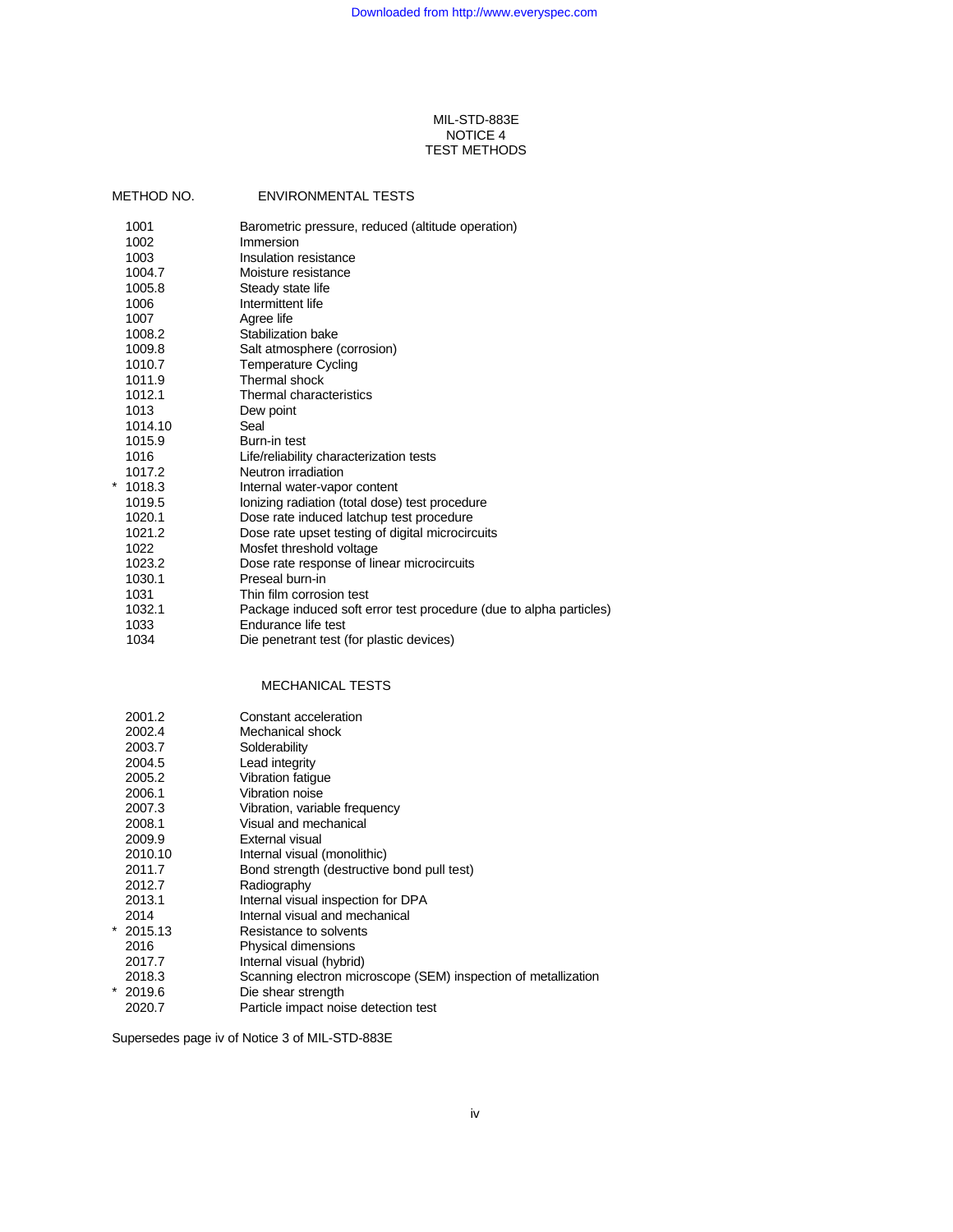#### MIL-STD-883E NOTICE 4 TEST METHODS

| METHOD NO. | <b>ENVIRONMENTAL TESTS</b>                                         |
|------------|--------------------------------------------------------------------|
| 1001       | Barometric pressure, reduced (altitude operation)                  |
| 1002       | Immersion                                                          |
| 1003       | Insulation resistance                                              |
| 1004.7     | Moisture resistance                                                |
| 1005.8     | Steady state life                                                  |
| 1006       | Intermittent life                                                  |
| 1007       | Agree life                                                         |
| 1008.2     | Stabilization bake                                                 |
| 1009.8     | Salt atmosphere (corrosion)                                        |
| 1010.7     | <b>Temperature Cycling</b>                                         |
| 1011.9     | Thermal shock                                                      |
| 1012.1     | Thermal characteristics                                            |
| 1013       | Dew point                                                          |
| 1014.10    | Seal                                                               |
| 1015.9     | <b>Burn-in test</b>                                                |
| 1016       | Life/reliability characterization tests                            |
| 1017.2     | Neutron irradiation                                                |
| $*1018.3$  | Internal water-vapor content                                       |
| 1019.5     | Ionizing radiation (total dose) test procedure                     |
| 1020.1     | Dose rate induced latchup test procedure                           |
| 1021.2     | Dose rate upset testing of digital microcircuits                   |
| 1022       | Mosfet threshold voltage                                           |
| 1023.2     | Dose rate response of linear microcircuits                         |
| 1030.1     | Preseal burn-in                                                    |
| 1031       | Thin film corrosion test                                           |
| 1032.1     | Package induced soft error test procedure (due to alpha particles) |
| 1033       | Endurance life test                                                |
|            |                                                                    |

1034 Die penetrant test (for plastic devices)

# MECHANICAL TESTS

| 2001.2    | Constant acceleration                                          |
|-----------|----------------------------------------------------------------|
| 2002.4    | Mechanical shock                                               |
| 2003.7    | Solderability                                                  |
| 2004.5    | Lead integrity                                                 |
| 2005.2    | Vibration fatigue                                              |
| 2006.1    | Vibration noise                                                |
| 2007.3    | Vibration, variable frequency                                  |
| 2008.1    | Visual and mechanical                                          |
| 2009.9    | External visual                                                |
| 2010.10   | Internal visual (monolithic)                                   |
| 2011.7    | Bond strength (destructive bond pull test)                     |
| 2012.7    | Radiography                                                    |
| 2013.1    | Internal visual inspection for DPA                             |
| 2014      | Internal visual and mechanical                                 |
| * 2015.13 | Resistance to solvents                                         |
| 2016      | Physical dimensions                                            |
| 2017.7    | Internal visual (hybrid)                                       |
| 2018.3    | Scanning electron microscope (SEM) inspection of metallization |
| * 2019.6  | Die shear strength                                             |
| 2020.7    | Particle impact noise detection test                           |

Supersedes page iv of Notice 3 of MIL-STD-883E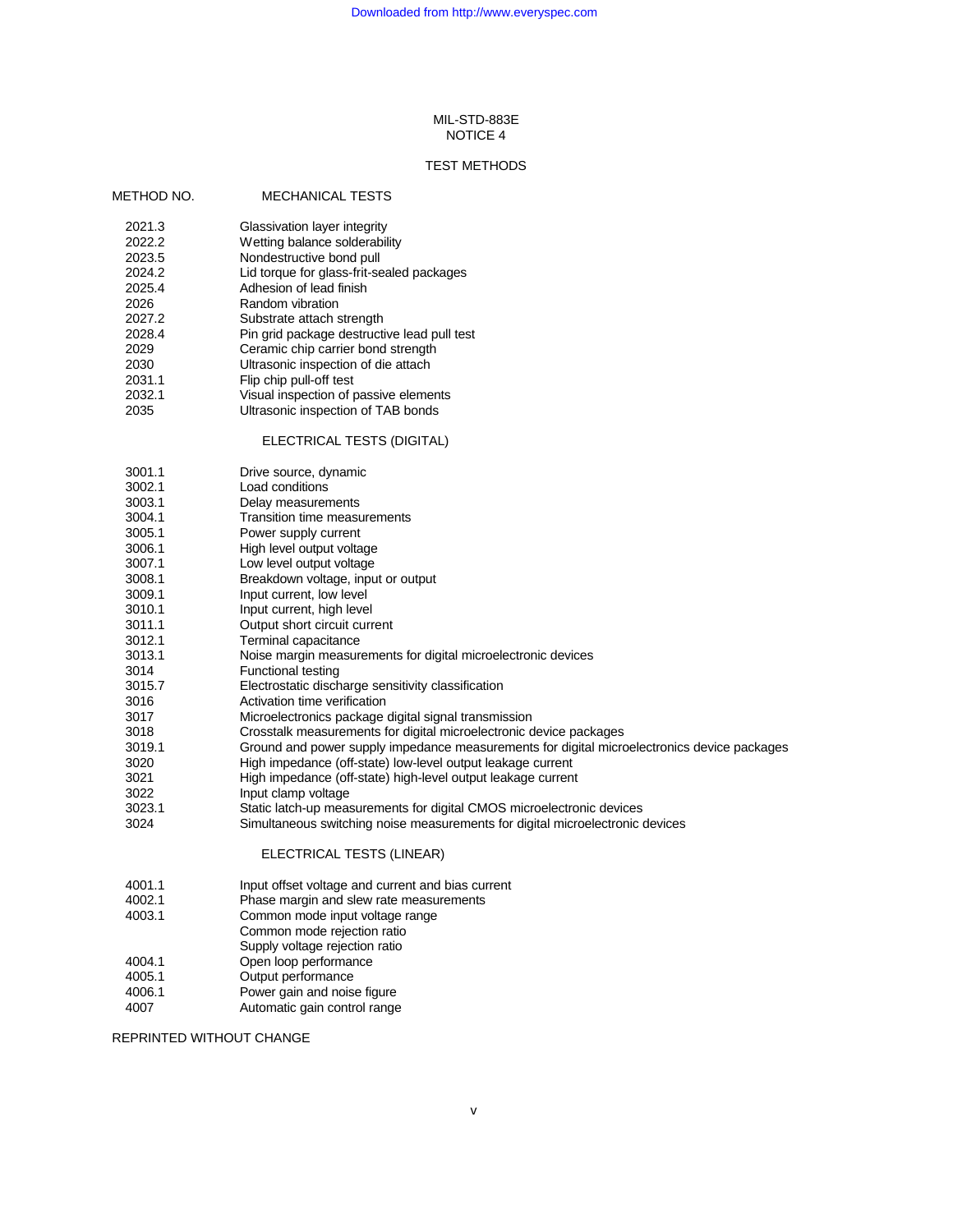## TEST METHODS

| 2021.3 | Glassivation layer integrity                |
|--------|---------------------------------------------|
| 2022.2 | Wetting balance solderability               |
| 2023.5 | Nondestructive bond pull                    |
| 2024.2 | Lid torque for glass-frit-sealed packages   |
| 2025.4 | Adhesion of lead finish                     |
| 2026   | Random vibration                            |
| 2027.2 | Substrate attach strength                   |
| 2028.4 | Pin grid package destructive lead pull test |
| 2029   | Ceramic chip carrier bond strength          |

- 2030 Ultrasonic inspection of die attach
- 
- 2031.1 Flip chip pull-off test<br>2032.1 Visual inspection of p Visual inspection of passive elements
- 2035 Ultrasonic inspection of TAB bonds

# ELECTRICAL TESTS (DIGITAL)

| 3001.1 | Drive source, dynamic                                                                       |
|--------|---------------------------------------------------------------------------------------------|
| 3002.1 | Load conditions                                                                             |
| 3003.1 | Delay measurements                                                                          |
| 3004.1 | Transition time measurements                                                                |
| 3005.1 | Power supply current                                                                        |
| 3006.1 | High level output voltage                                                                   |
| 3007.1 | Low level output voltage                                                                    |
| 3008.1 | Breakdown voltage, input or output                                                          |
| 3009.1 | Input current, low level                                                                    |
| 3010.1 | Input current, high level                                                                   |
| 3011.1 | Output short circuit current                                                                |
| 3012.1 | Terminal capacitance                                                                        |
| 3013.1 | Noise margin measurements for digital microelectronic devices                               |
| 3014   | <b>Functional testing</b>                                                                   |
| 3015.7 | Electrostatic discharge sensitivity classification                                          |
| 3016   | Activation time verification                                                                |
| 3017   | Microelectronics package digital signal transmission                                        |
| 3018   | Crosstalk measurements for digital microelectronic device packages                          |
| 3019.1 | Ground and power supply impedance measurements for digital microelectronics device packages |
| 3020   | High impedance (off-state) low-level output leakage current                                 |
| 3021   | High impedance (off-state) high-level output leakage current                                |
| 3022   | Input clamp voltage                                                                         |
| 3023.1 | Static latch-up measurements for digital CMOS microelectronic devices                       |
| 3024   | Simultaneous switching noise measurements for digital microelectronic devices               |
|        | ELECTRICAL TESTS (LINEAR)                                                                   |
| 10011  | lanut offect voltoge and ourrent and bigg ourrent                                           |

- 4001.1 Input offset voltage and current and bias current 4002.1
- Phase margin and slew rate measurements 4003.1 Common mode input voltage range
- Common mode rejection ratio
- Supply voltage rejection ratio
- 4004.1 Open loop performance
- 
- 4005.1 Output performance<br>4006.1 Power gain and noise Power gain and noise figure
- 4007 Automatic gain control range

REPRINTED WITHOUT CHANGE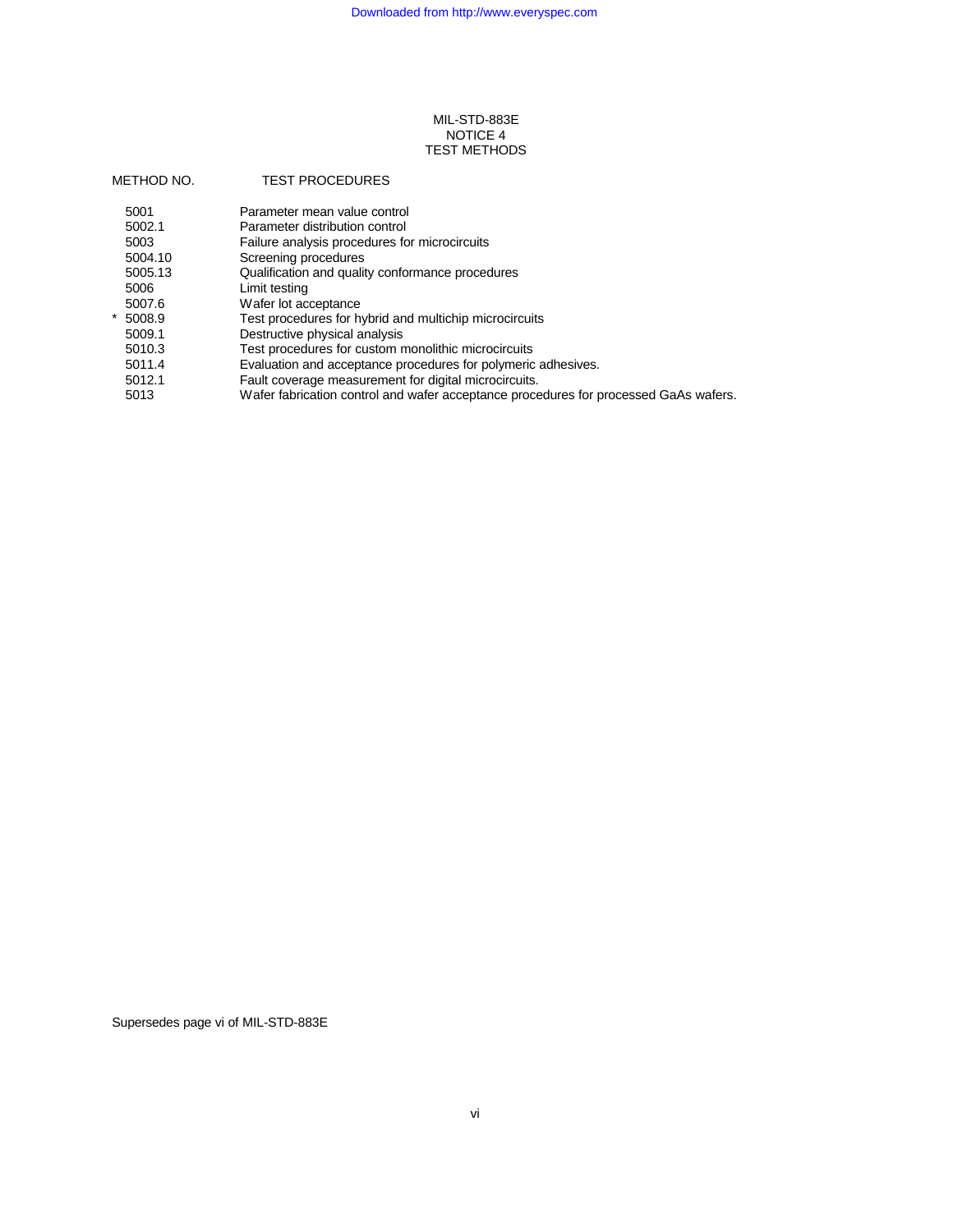#### MIL-STD-883E NOTICE 4 TEST METHODS

#### METHOD NO. TEST PROCEDURES

- 5001 Parameter mean value control<br>5002.1 Parameter distribution control
- Parameter distribution control
- 5003 Failure analysis procedures for microcircuits
- 5004.10 Screening procedures<br>5005.13 Qualification and qualit
- Qualification and quality conformance procedures
- 5006 Limit testing<br>5007.6 Wafer lot ac
- 
- 5007.6 Wafer lot acceptance<br>
\* 5008.9 Test procedures for hy 5008.9 Test procedures for hybrid and multichip microcircuits<br>5009.1 Destructive physical analysis
- 5009.1 Destructive physical analysis
- Test procedures for custom monolithic microcircuits
- 5011.4 Evaluation and acceptance procedures for polymeric adhesives.<br>5012.1 Fault coverage measurement for digital microcircuits.
- 5012.1 Fault coverage measurement for digital microcircuits.
- Wafer fabrication control and wafer acceptance procedures for processed GaAs wafers.

Supersedes page vi of MIL-STD-883E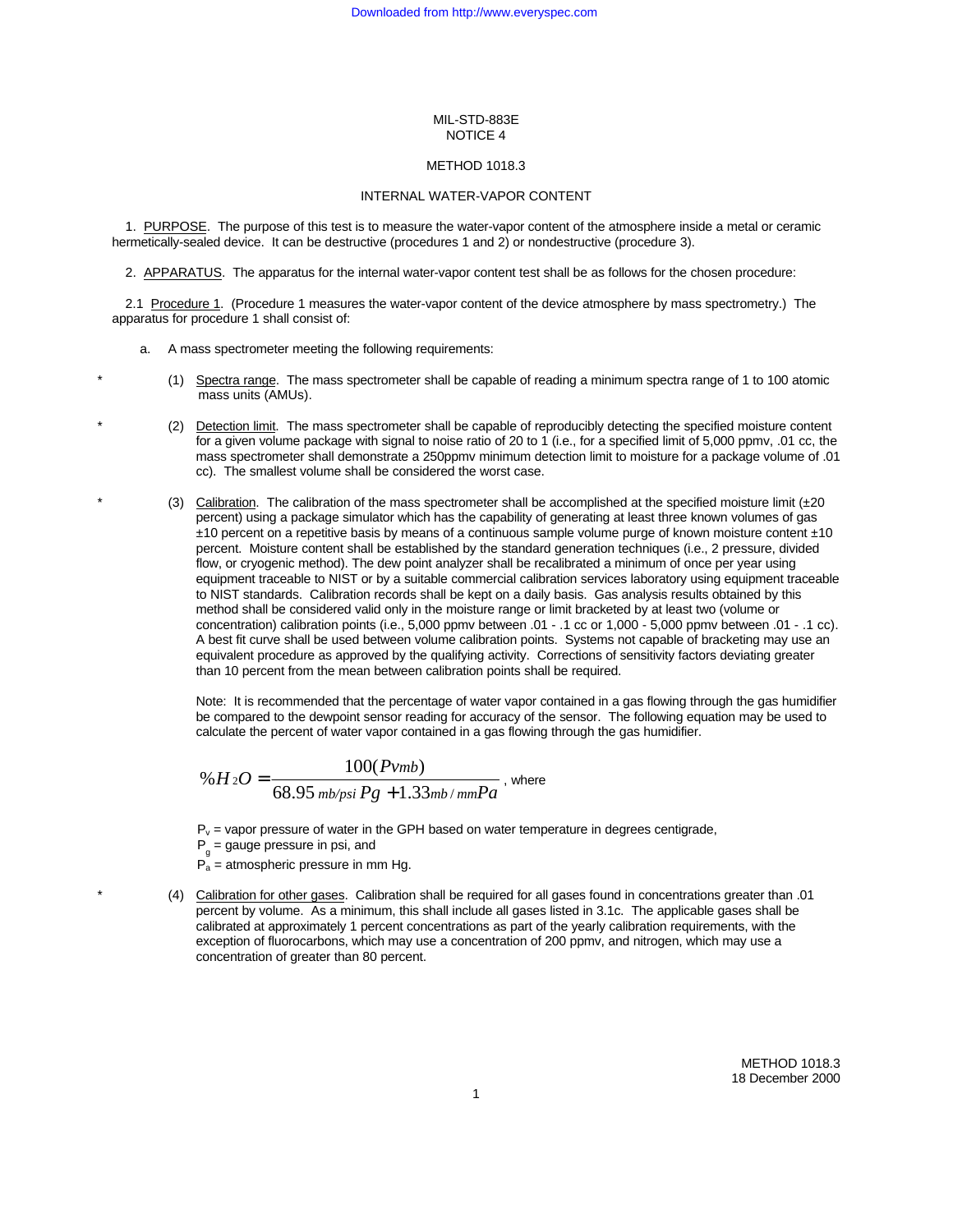### METHOD 1018.3

#### INTERNAL WATER-VAPOR CONTENT

1. PURPOSE. The purpose of this test is to measure the water-vapor content of the atmosphere inside a metal or ceramic hermetically-sealed device. It can be destructive (procedures 1 and 2) or nondestructive (procedure 3).

2. APPARATUS. The apparatus for the internal water-vapor content test shall be as follows for the chosen procedure:

2.1 Procedure 1. (Procedure 1 measures the water-vapor content of the device atmosphere by mass spectrometry.) The apparatus for procedure 1 shall consist of:

- a. A mass spectrometer meeting the following requirements:
	- \* (1) Spectra range. The mass spectrometer shall be capable of reading a minimum spectra range of 1 to 100 atomic mass units (AMUs).
	- (2) Detection limit. The mass spectrometer shall be capable of reproducibly detecting the specified moisture content for a given volume package with signal to noise ratio of 20 to 1 (i.e., for a specified limit of 5,000 ppmv, .01 cc, the mass spectrometer shall demonstrate a 250ppmv minimum detection limit to moisture for a package volume of .01 cc). The smallest volume shall be considered the worst case.
		- (3) Calibration. The calibration of the mass spectrometer shall be accomplished at the specified moisture limit  $(\pm 20)$ percent) using a package simulator which has the capability of generating at least three known volumes of gas  $±10$  percent on a repetitive basis by means of a continuous sample volume purge of known moisture content  $±10$ percent. Moisture content shall be established by the standard generation techniques (i.e., 2 pressure, divided flow, or cryogenic method). The dew point analyzer shall be recalibrated a minimum of once per year using equipment traceable to NIST or by a suitable commercial calibration services laboratory using equipment traceable to NIST standards. Calibration records shall be kept on a daily basis. Gas analysis results obtained by this method shall be considered valid only in the moisture range or limit bracketed by at least two (volume or concentration) calibration points (i.e., 5,000 ppmv between .01 - .1 cc or 1,000 - 5,000 ppmv between .01 - .1 cc). A best fit curve shall be used between volume calibration points. Systems not capable of bracketing may use an equivalent procedure as approved by the qualifying activity. Corrections of sensitivity factors deviating greater than 10 percent from the mean between calibration points shall be required.

Note: It is recommended that the percentage of water vapor contained in a gas flowing through the gas humidifier be compared to the dewpoint sensor reading for accuracy of the sensor. The following equation may be used to calculate the percent of water vapor contained in a gas flowing through the gas humidifier.

$$
\%H_2O = \frac{100(Pvmb)}{68.95 \text{ mb/psi} \cdot Pg + 1.33 \text{ mb/mm} Pa}, \text{where}
$$

 $P_v$  = vapor pressure of water in the GPH based on water temperature in degrees centigrade,

- $P_{g}$  = gauge pressure in psi, and
- $\tilde{P_a}$  = atmospheric pressure in mm Hg.
- \* (4) Calibration for other gases. Calibration shall be required for all gases found in concentrations greater than .01 percent by volume. As a minimum, this shall include all gases listed in 3.1c. The applicable gases shall be calibrated at approximately 1 percent concentrations as part of the yearly calibration requirements, with the exception of fluorocarbons, which may use a concentration of 200 ppmv, and nitrogen, which may use a concentration of greater than 80 percent.

METHOD 1018.3 18 December 2000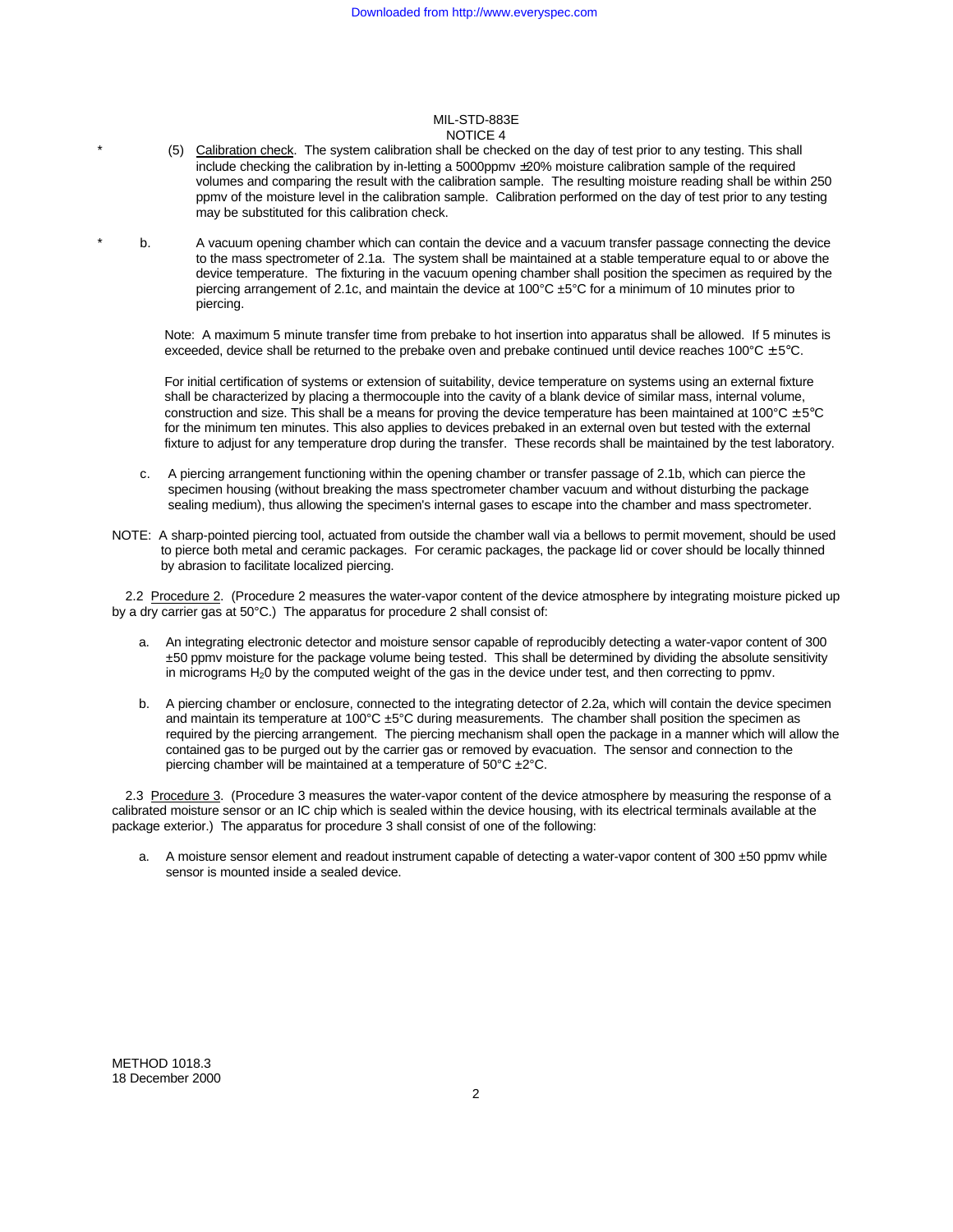- \* (5) Calibration check. The system calibration shall be checked on the day of test prior to any testing. This shall include checking the calibration by in-letting a 5000ppmv ±20% moisture calibration sample of the required volumes and comparing the result with the calibration sample. The resulting moisture reading shall be within 250 ppmv of the moisture level in the calibration sample. Calibration performed on the day of test prior to any testing may be substituted for this calibration check.
- b. A vacuum opening chamber which can contain the device and a vacuum transfer passage connecting the device to the mass spectrometer of 2.1a. The system shall be maintained at a stable temperature equal to or above the device temperature. The fixturing in the vacuum opening chamber shall position the specimen as required by the piercing arrangement of 2.1c, and maintain the device at 100°C ±5°C for a minimum of 10 minutes prior to piercing.

Note: A maximum 5 minute transfer time from prebake to hot insertion into apparatus shall be allowed. If 5 minutes is exceeded, device shall be returned to the prebake oven and prebake continued until device reaches 100°C ± 5°C.

For initial certification of systems or extension of suitability, device temperature on systems using an external fixture shall be characterized by placing a thermocouple into the cavity of a blank device of similar mass, internal volume, construction and size. This shall be a means for proving the device temperature has been maintained at 100 $^{\circ}$ C  $\pm$  5 $^{\circ}$ C for the minimum ten minutes. This also applies to devices prebaked in an external oven but tested with the external fixture to adjust for any temperature drop during the transfer. These records shall be maintained by the test laboratory.

- c. A piercing arrangement functioning within the opening chamber or transfer passage of 2.1b, which can pierce the specimen housing (without breaking the mass spectrometer chamber vacuum and without disturbing the package sealing medium), thus allowing the specimen's internal gases to escape into the chamber and mass spectrometer.
- NOTE: A sharp-pointed piercing tool, actuated from outside the chamber wall via a bellows to permit movement, should be used to pierce both metal and ceramic packages. For ceramic packages, the package lid or cover should be locally thinned by abrasion to facilitate localized piercing.

2.2 Procedure 2. (Procedure 2 measures the water-vapor content of the device atmosphere by integrating moisture picked up by a dry carrier gas at 50°C.) The apparatus for procedure 2 shall consist of:

- a. An integrating electronic detector and moisture sensor capable of reproducibly detecting a water-vapor content of 300 ±50 ppmv moisture for the package volume being tested. This shall be determined by dividing the absolute sensitivity in micrograms  $H<sub>2</sub>0$  by the computed weight of the gas in the device under test, and then correcting to ppmv.
- b. A piercing chamber or enclosure, connected to the integrating detector of 2.2a, which will contain the device specimen and maintain its temperature at 100°C ±5°C during measurements. The chamber shall position the specimen as required by the piercing arrangement. The piercing mechanism shall open the package in a manner which will allow the contained gas to be purged out by the carrier gas or removed by evacuation. The sensor and connection to the piercing chamber will be maintained at a temperature of 50°C ±2°C.

2.3 Procedure 3. (Procedure 3 measures the water-vapor content of the device atmosphere by measuring the response of a calibrated moisture sensor or an IC chip which is sealed within the device housing, with its electrical terminals available at the package exterior.) The apparatus for procedure 3 shall consist of one of the following:

a. A moisture sensor element and readout instrument capable of detecting a water-vapor content of 300  $\pm$ 50 ppmv while sensor is mounted inside a sealed device.

METHOD 1018.3 18 December 2000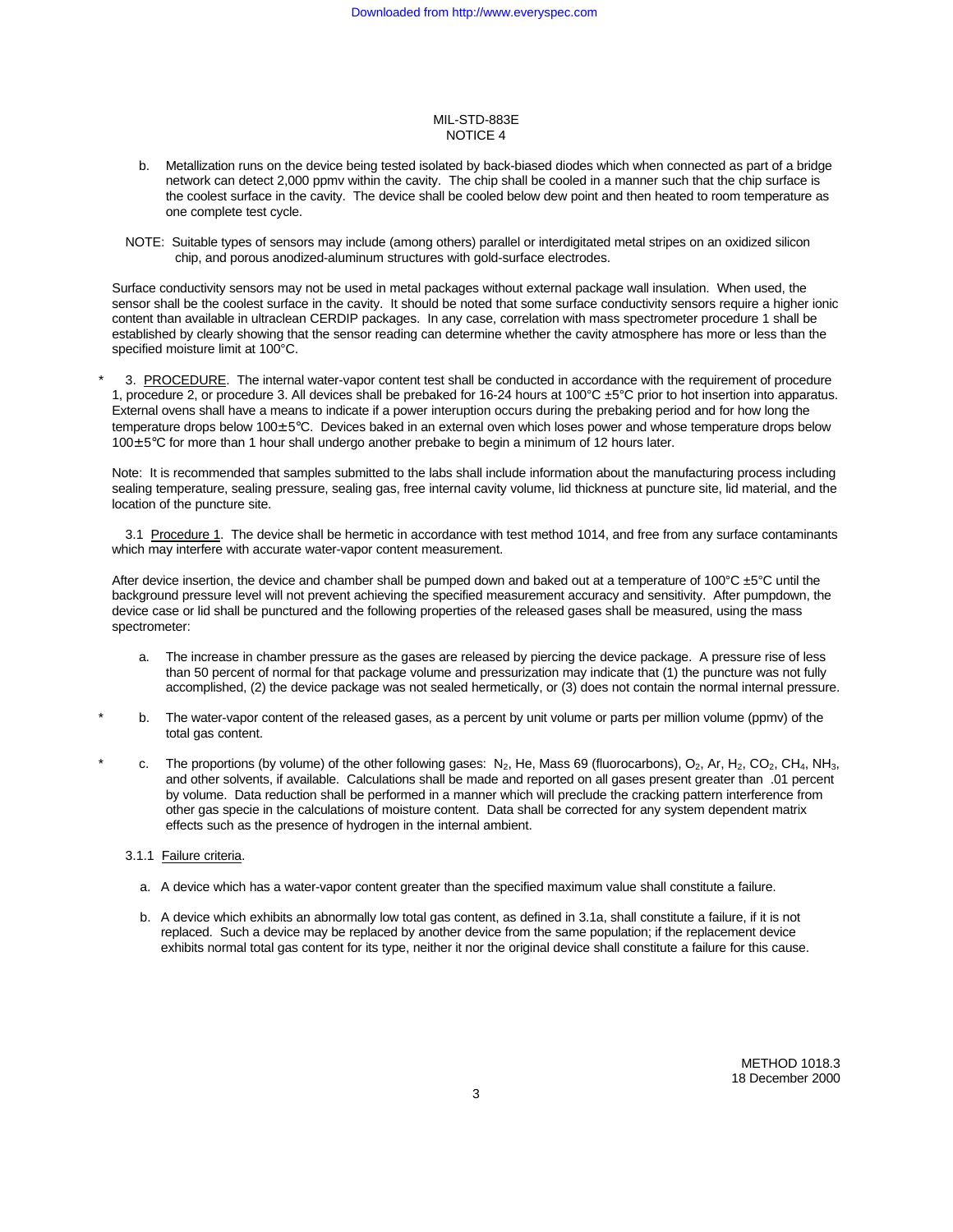- b. Metallization runs on the device being tested isolated by back-biased diodes which when connected as part of a bridge network can detect 2,000 ppmv within the cavity. The chip shall be cooled in a manner such that the chip surface is the coolest surface in the cavity. The device shall be cooled below dew point and then heated to room temperature as one complete test cycle.
- NOTE: Suitable types of sensors may include (among others) parallel or interdigitated metal stripes on an oxidized silicon chip, and porous anodized-aluminum structures with gold-surface electrodes.

Surface conductivity sensors may not be used in metal packages without external package wall insulation. When used, the sensor shall be the coolest surface in the cavity. It should be noted that some surface conductivity sensors require a higher ionic content than available in ultraclean CERDIP packages. In any case, correlation with mass spectrometer procedure 1 shall be established by clearly showing that the sensor reading can determine whether the cavity atmosphere has more or less than the specified moisture limit at 100°C.

3. PROCEDURE. The internal water-vapor content test shall be conducted in accordance with the requirement of procedure 1, procedure 2, or procedure 3. All devices shall be prebaked for 16-24 hours at 100°C ±5°C prior to hot insertion into apparatus. External ovens shall have a means to indicate if a power interuption occurs during the prebaking period and for how long the temperature drops below 100± 5°C. Devices baked in an external oven which loses power and whose temperature drops below 100± 5°C for more than 1 hour shall undergo another prebake to begin a minimum of 12 hours later.

Note: It is recommended that samples submitted to the labs shall include information about the manufacturing process including sealing temperature, sealing pressure, sealing gas, free internal cavity volume, lid thickness at puncture site, lid material, and the location of the puncture site.

3.1 Procedure 1. The device shall be hermetic in accordance with test method 1014, and free from any surface contaminants which may interfere with accurate water-vapor content measurement.

After device insertion, the device and chamber shall be pumped down and baked out at a temperature of 100 $^{\circ}$ C  $\pm$ 5 $^{\circ}$ C until the background pressure level will not prevent achieving the specified measurement accuracy and sensitivity. After pumpdown, the device case or lid shall be punctured and the following properties of the released gases shall be measured, using the mass spectrometer:

- a. The increase in chamber pressure as the gases are released by piercing the device package. A pressure rise of less than 50 percent of normal for that package volume and pressurization may indicate that (1) the puncture was not fully accomplished, (2) the device package was not sealed hermetically, or (3) does not contain the normal internal pressure.
- b. The water-vapor content of the released gases, as a percent by unit volume or parts per million volume (ppmv) of the total gas content.
- c. The proportions (by volume) of the other following gases: N<sub>2</sub>, He, Mass 69 (fluorocarbons), O<sub>2</sub>, Ar, H<sub>2</sub>, CO<sub>2</sub>, CH<sub>4</sub>, NH<sub>3</sub>, and other solvents, if available. Calculations shall be made and reported on all gases present greater than .01 percent by volume. Data reduction shall be performed in a manner which will preclude the cracking pattern interference from other gas specie in the calculations of moisture content. Data shall be corrected for any system dependent matrix effects such as the presence of hydrogen in the internal ambient.
	- 3.1.1 Failure criteria.
		- a. A device which has a water-vapor content greater than the specified maximum value shall constitute a failure.
		- b. A device which exhibits an abnormally low total gas content, as defined in 3.1a, shall constitute a failure, if it is not replaced. Such a device may be replaced by another device from the same population; if the replacement device exhibits normal total gas content for its type, neither it nor the original device shall constitute a failure for this cause.

METHOD 1018.3 18 December 2000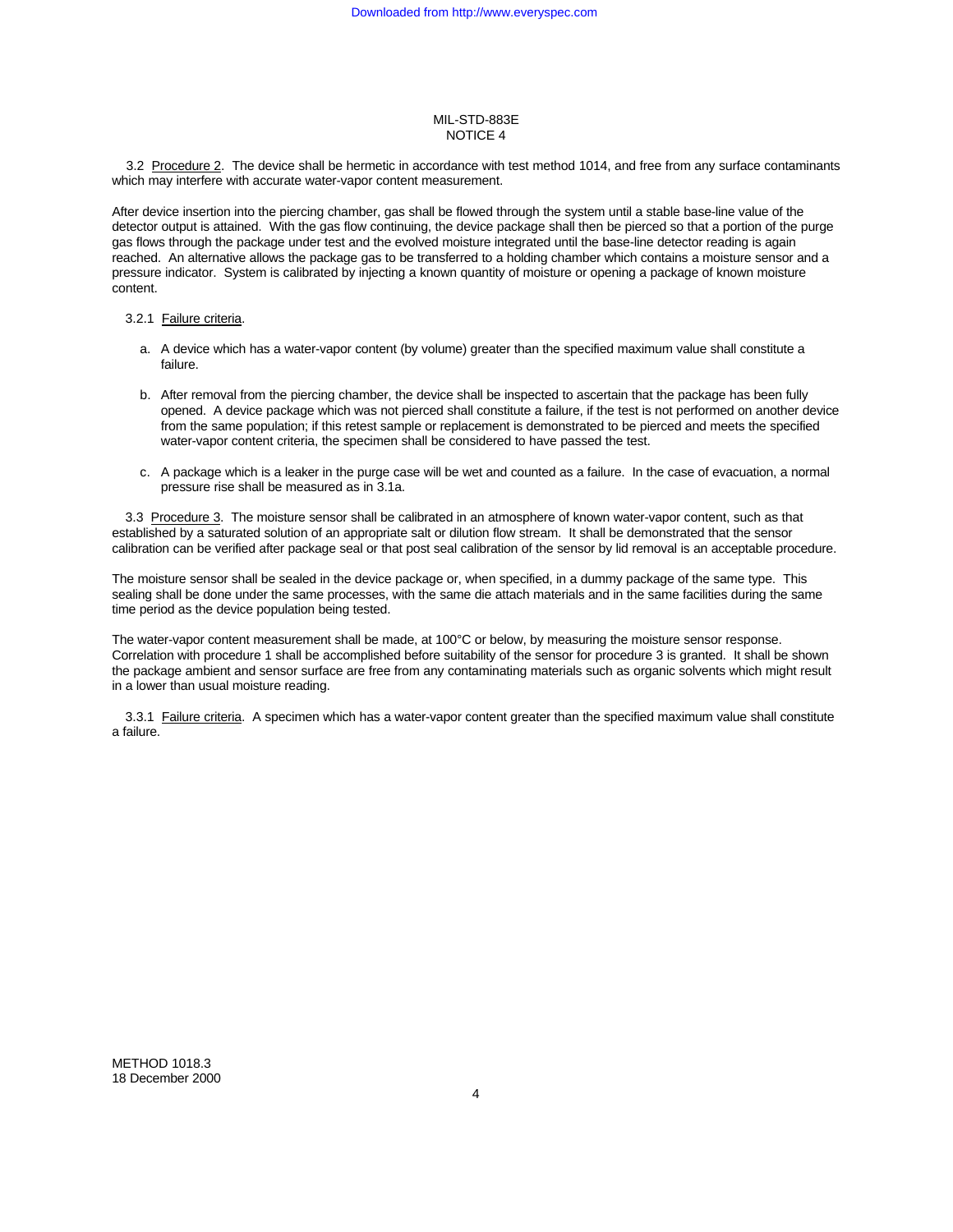3.2 Procedure 2. The device shall be hermetic in accordance with test method 1014, and free from any surface contaminants which may interfere with accurate water-vapor content measurement.

After device insertion into the piercing chamber, gas shall be flowed through the system until a stable base-line value of the detector output is attained. With the gas flow continuing, the device package shall then be pierced so that a portion of the purge gas flows through the package under test and the evolved moisture integrated until the base-line detector reading is again reached. An alternative allows the package gas to be transferred to a holding chamber which contains a moisture sensor and a pressure indicator. System is calibrated by injecting a known quantity of moisture or opening a package of known moisture content.

#### 3.2.1 Failure criteria.

- a. A device which has a water-vapor content (by volume) greater than the specified maximum value shall constitute a failure.
- b. After removal from the piercing chamber, the device shall be inspected to ascertain that the package has been fully opened. A device package which was not pierced shall constitute a failure, if the test is not performed on another device from the same population; if this retest sample or replacement is demonstrated to be pierced and meets the specified water-vapor content criteria, the specimen shall be considered to have passed the test.
- c. A package which is a leaker in the purge case will be wet and counted as a failure. In the case of evacuation, a normal pressure rise shall be measured as in 3.1a.

3.3 Procedure 3. The moisture sensor shall be calibrated in an atmosphere of known water-vapor content, such as that established by a saturated solution of an appropriate salt or dilution flow stream. It shall be demonstrated that the sensor calibration can be verified after package seal or that post seal calibration of the sensor by lid removal is an acceptable procedure.

The moisture sensor shall be sealed in the device package or, when specified, in a dummy package of the same type. This sealing shall be done under the same processes, with the same die attach materials and in the same facilities during the same time period as the device population being tested.

The water-vapor content measurement shall be made, at 100°C or below, by measuring the moisture sensor response. Correlation with procedure 1 shall be accomplished before suitability of the sensor for procedure 3 is granted. It shall be shown the package ambient and sensor surface are free from any contaminating materials such as organic solvents which might result in a lower than usual moisture reading.

3.3.1 Failure criteria. A specimen which has a water-vapor content greater than the specified maximum value shall constitute a failure.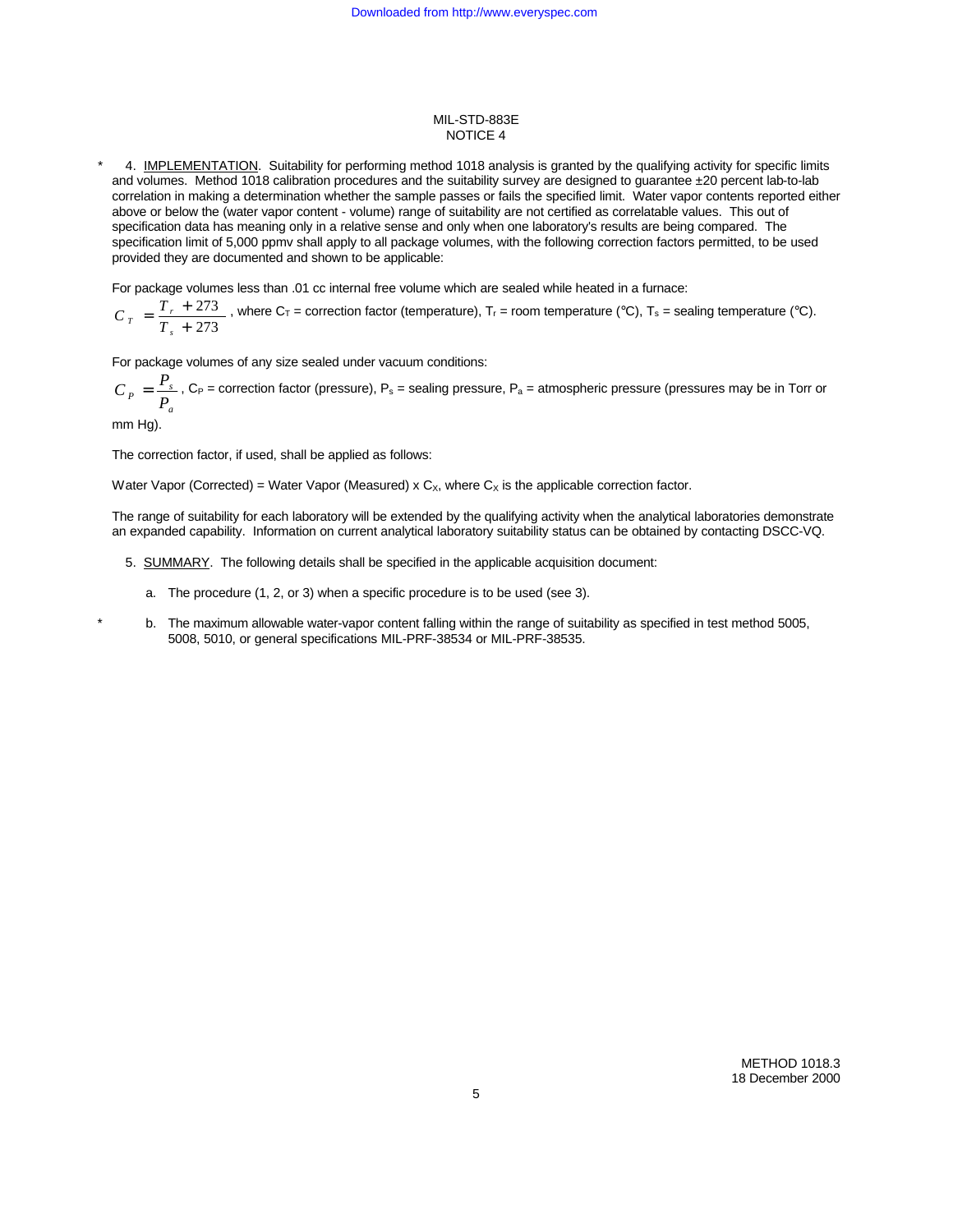4. IMPLEMENTATION. Suitability for performing method 1018 analysis is granted by the qualifying activity for specific limits and volumes. Method 1018 calibration procedures and the suitability survey are designed to guarantee ±20 percent lab-to-lab correlation in making a determination whether the sample passes or fails the specified limit. Water vapor contents reported either above or below the (water vapor content - volume) range of suitability are not certified as correlatable values. This out of specification data has meaning only in a relative sense and only when one laboratory's results are being compared. The specification limit of 5,000 ppmv shall apply to all package volumes, with the following correction factors permitted, to be used provided they are documented and shown to be applicable:

For package volumes less than .01 cc internal free volume which are sealed while heated in a furnace:

273 273 +  $=\frac{T_{r}+T_{r}}{T_{r}}$ *s*  $T = \frac{I}{T_s}$  $C_T = \frac{T_r + 273}{T_r - 273}$ , where C<sub>T</sub> = correction factor (temperature), T<sub>r</sub> = room temperature (°C), T<sub>s</sub> = sealing temperature (°C).

For package volumes of any size sealed under vacuum conditions:

*a*  $P = \frac{I_s}{P_a}$  $C_p = \frac{P_s}{P}$ ,  $C_P$  = correction factor (pressure),  $P_s$  = sealing pressure,  $P_a$  = atmospheric pressure (pressures may be in Torr or

mm Hg).

The correction factor, if used, shall be applied as follows:

Water Vapor (Corrected) = Water Vapor (Measured) x  $C_x$ , where  $C_x$  is the applicable correction factor.

The range of suitability for each laboratory will be extended by the qualifying activity when the analytical laboratories demonstrate an expanded capability. Information on current analytical laboratory suitability status can be obtained by contacting DSCC-VQ.

- 5. SUMMARY. The following details shall be specified in the applicable acquisition document:
	- a. The procedure (1, 2, or 3) when a specific procedure is to be used (see 3).
	- b. The maximum allowable water-vapor content falling within the range of suitability as specified in test method 5005, 5008, 5010, or general specifications MIL-PRF-38534 or MIL-PRF-38535.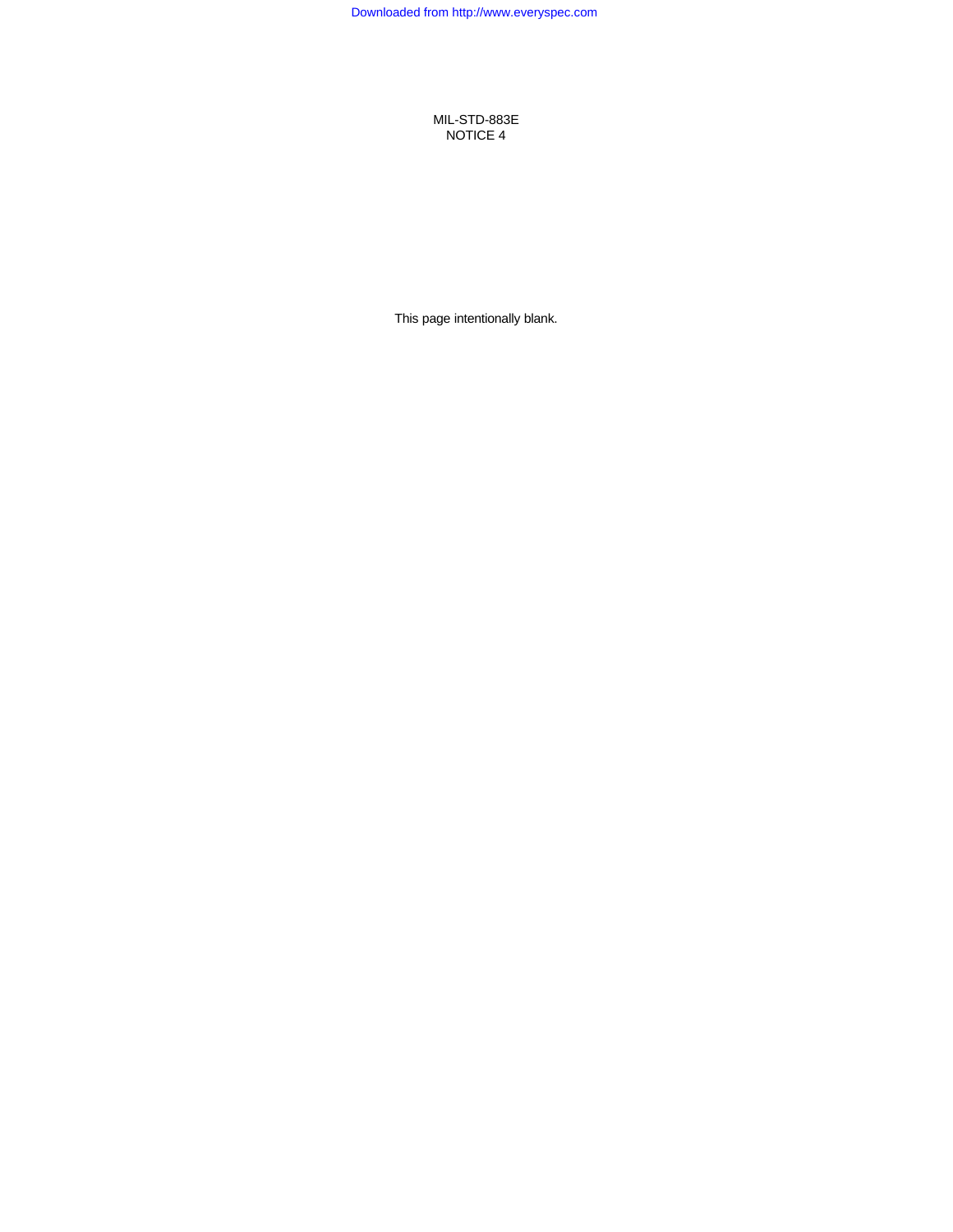This page intentionally blank.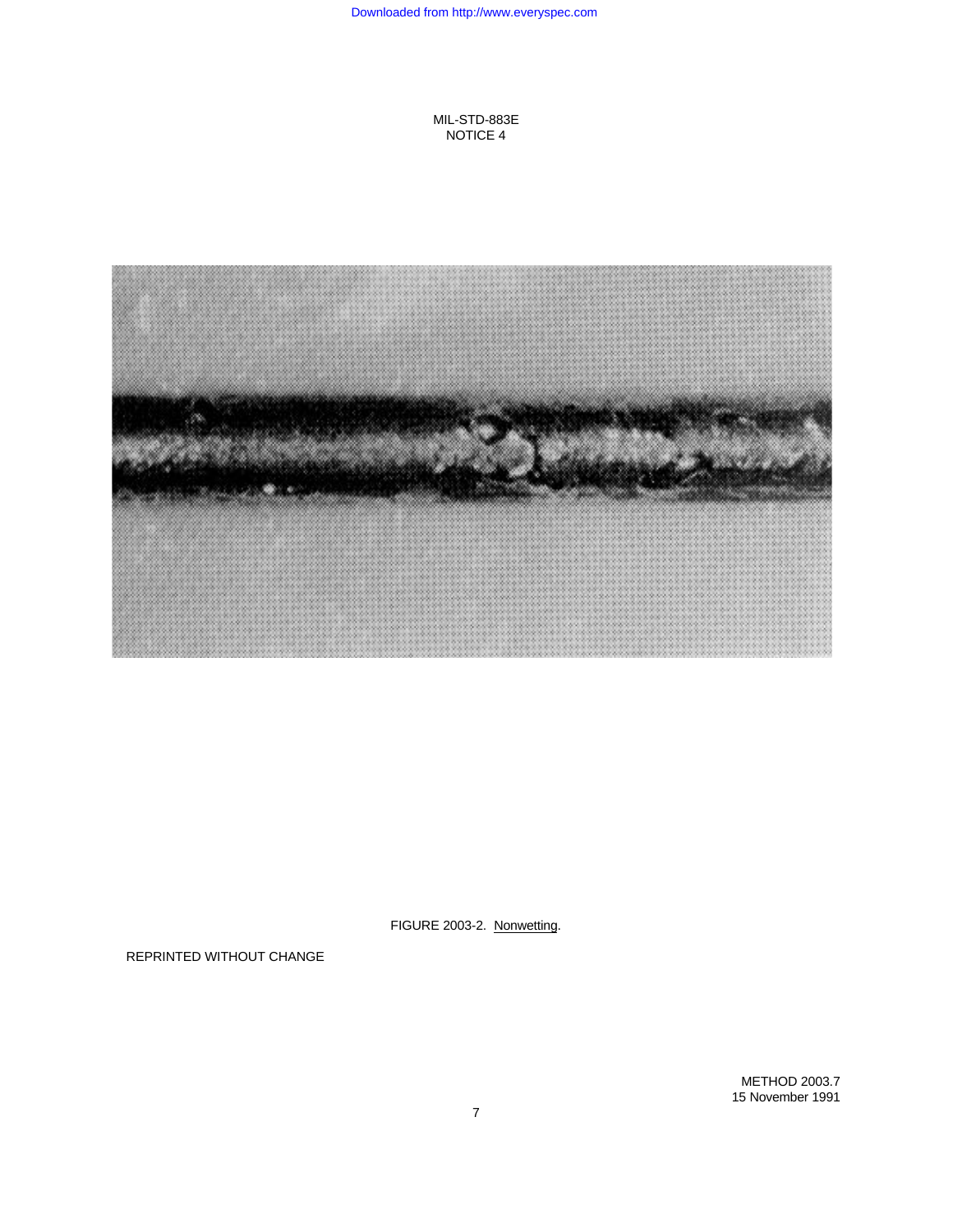Downloaded from http://www.everyspec.com

MIL-STD-883E NOTICE 4



FIGURE 2003-2. Nonwetting.

REPRINTED WITHOUT CHANGE

METHOD 2003.7 15 November 1991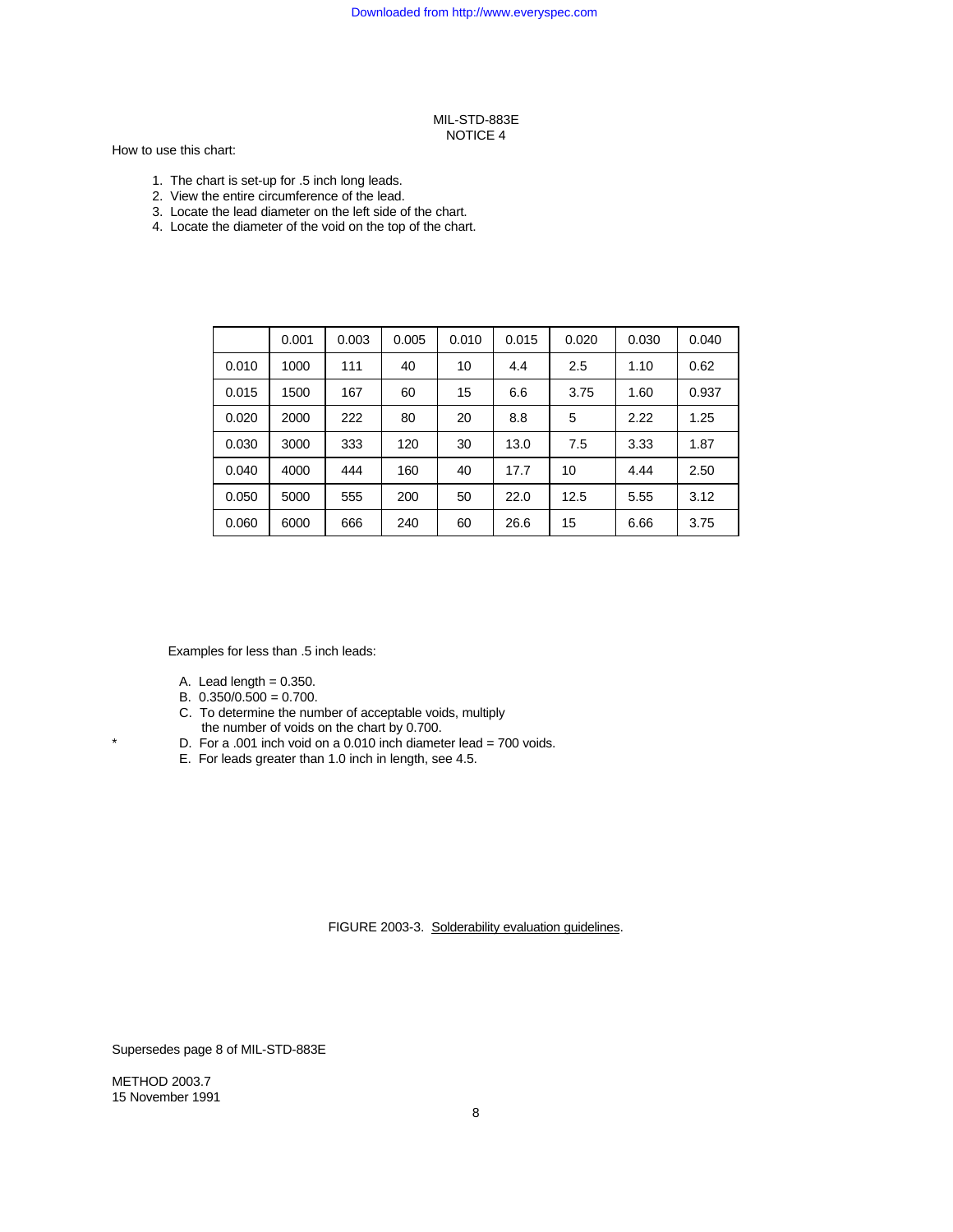How to use this chart:

- 1. The chart is set-up for .5 inch long leads.
- 2. View the entire circumference of the lead.
- 3. Locate the lead diameter on the left side of the chart.
- 4. Locate the diameter of the void on the top of the chart.

|       | 0.001 | 0.003 | 0.005 | 0.010 | 0.015 | 0.020 | 0.030 | 0.040 |
|-------|-------|-------|-------|-------|-------|-------|-------|-------|
| 0.010 | 1000  | 111   | 40    | 10    | 4.4   | 2.5   | 1.10  | 0.62  |
| 0.015 | 1500  | 167   | 60    | 15    | 6.6   | 3.75  | 1.60  | 0.937 |
| 0.020 | 2000  | 222   | 80    | 20    | 8.8   | 5     | 2.22  | 1.25  |
| 0.030 | 3000  | 333   | 120   | 30    | 13.0  | 7.5   | 3.33  | 1.87  |
| 0.040 | 4000  | 444   | 160   | 40    | 17.7  | 10    | 4.44  | 2.50  |
| 0.050 | 5000  | 555   | 200   | 50    | 22.0  | 12.5  | 5.55  | 3.12  |
| 0.060 | 6000  | 666   | 240   | 60    | 26.6  | 15    | 6.66  | 3.75  |

Examples for less than .5 inch leads:

- A. Lead length  $= 0.350$ .
- B.  $0.350/0.500 = 0.700$ .
- C. To determine the number of acceptable voids, multiply the number of voids on the chart by 0.700.
- \* D. For a .001 inch void on a 0.010 inch diameter lead = 700 voids.
	- E. For leads greater than 1.0 inch in length, see 4.5.

FIGURE 2003-3. Solderability evaluation guidelines.

Supersedes page 8 of MIL-STD-883E

METHOD 2003.7 15 November 1991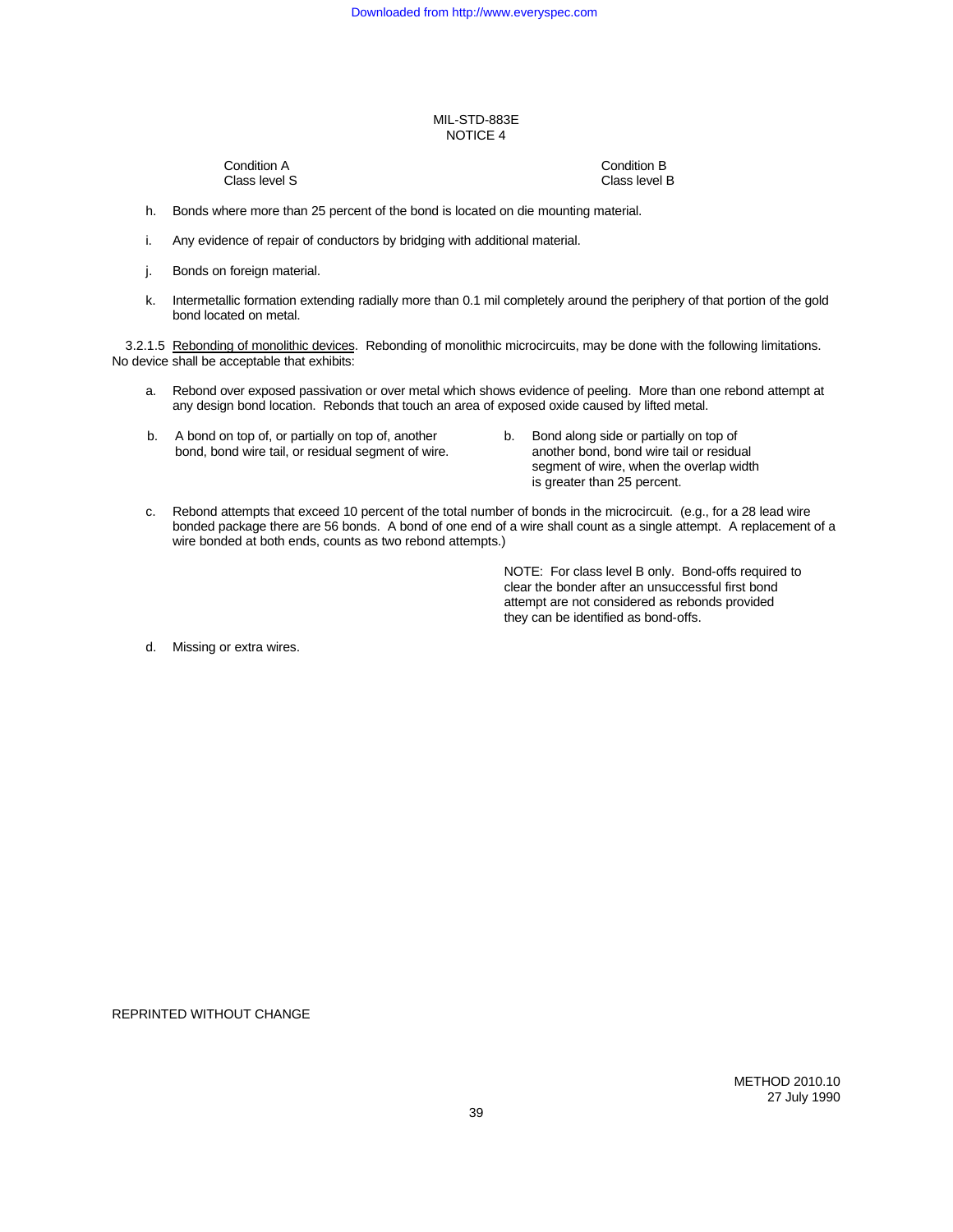Condition A Condition B<br>
Class level S Class Condition B

Class level B

- h. Bonds where more than 25 percent of the bond is located on die mounting material.
- i. Any evidence of repair of conductors by bridging with additional material.
- j. Bonds on foreign material.
- k. Intermetallic formation extending radially more than 0.1 mil completely around the periphery of that portion of the gold bond located on metal.

3.2.1.5 Rebonding of monolithic devices. Rebonding of monolithic microcircuits, may be done with the following limitations. No device shall be acceptable that exhibits:

- a. Rebond over exposed passivation or over metal which shows evidence of peeling. More than one rebond attempt at any design bond location. Rebonds that touch an area of exposed oxide caused by lifted metal.
- b. A bond on top of, or partially on top of, another b. Bond along side or partially on top of bond, bond wire tail, or residual segment of wire. another bond, bond wire tail or residual
	- segment of wire, when the overlap width is greater than 25 percent.
- c. Rebond attempts that exceed 10 percent of the total number of bonds in the microcircuit. (e.g., for a 28 lead wire bonded package there are 56 bonds. A bond of one end of a wire shall count as a single attempt. A replacement of a wire bonded at both ends, counts as two rebond attempts.)

NOTE: For class level B only. Bond-offs required to clear the bonder after an unsuccessful first bond attempt are not considered as rebonds provided they can be identified as bond-offs.

d. Missing or extra wires.

REPRINTED WITHOUT CHANGE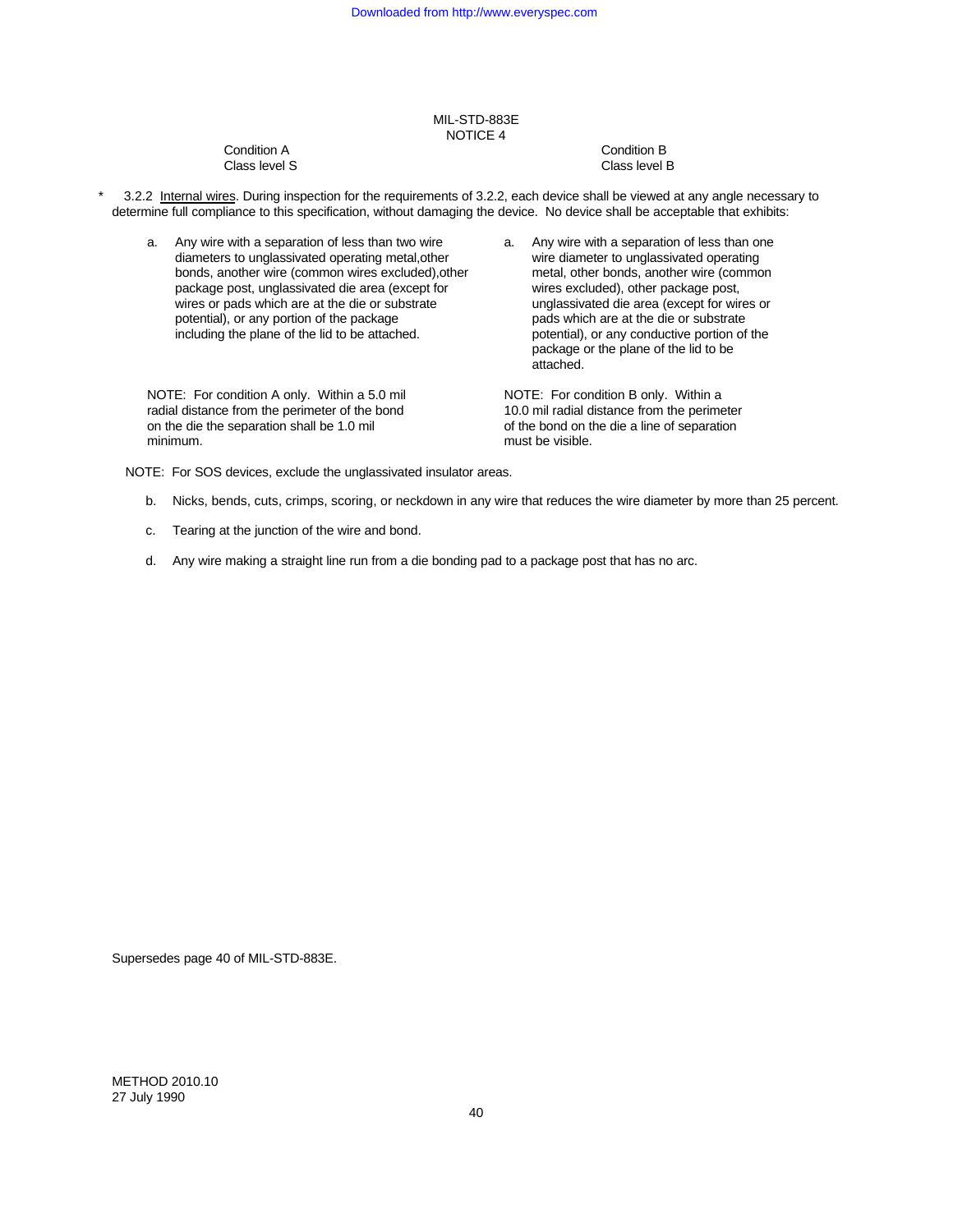Condition A Condition B Class level S Class level B

- 3.2.2 Internal wires. During inspection for the requirements of 3.2.2, each device shall be viewed at any angle necessary to determine full compliance to this specification, without damaging the device. No device shall be acceptable that exhibits:
	- a. Any wire with a separation of less than two wire a. Any wire with a separation of less than one diameters to unglassivated operating metal, other wire diameter to unglassivated operating<br>bonds, another wire (common wires excluded), other metal, other bonds, another wire (common bonds, another wire (common wires excluded), other package post, unglassivated die area (except for wires excluded), other package post, wires or pads which are at the die or substrate unglassivated die area (except for wires or potential), or any portion of the package parameters and pads which are at the die or substrate potential), or any portion of the package parameters pads which are at the die or substrate including the plane of the lid to be attached.<br>
	potential), or any conductive portion of the including the plane of the lid to be attached.

NOTE: For condition A only. Within a 5.0 mil NOTE: For condition B only. Within a radial distance from the perimeter of the bond 10.0 mil radial distance from the perimeter on the die the separation shall be 1.0 mil<br>minimum.<br>must be visible.

package or the plane of the lid to be attached.

must be visible.

NOTE: For SOS devices, exclude the unglassivated insulator areas.

- b. Nicks, bends, cuts, crimps, scoring, or neckdown in any wire that reduces the wire diameter by more than 25 percent.
- c. Tearing at the junction of the wire and bond.
- d. Any wire making a straight line run from a die bonding pad to a package post that has no arc.

Supersedes page 40 of MIL-STD-883E.

METHOD 2010.10 27 July 1990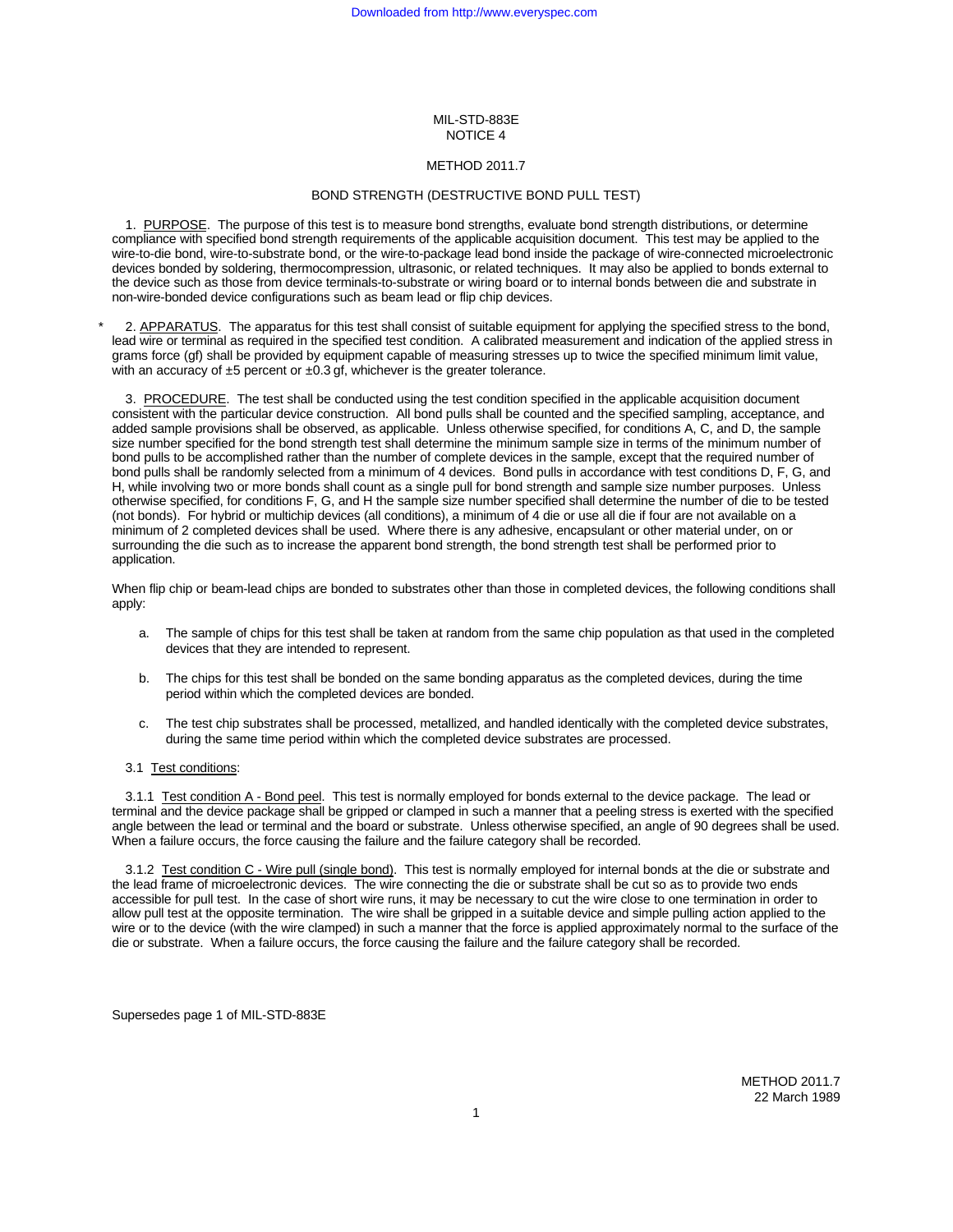#### METHOD 2011.7

#### BOND STRENGTH (DESTRUCTIVE BOND PULL TEST)

1. PURPOSE. The purpose of this test is to measure bond strengths, evaluate bond strength distributions, or determine compliance with specified bond strength requirements of the applicable acquisition document. This test may be applied to the wire-to-die bond, wire-to-substrate bond, or the wire-to-package lead bond inside the package of wire-connected microelectronic devices bonded by soldering, thermocompression, ultrasonic, or related techniques. It may also be applied to bonds external to the device such as those from device terminals-to-substrate or wiring board or to internal bonds between die and substrate in non-wire-bonded device configurations such as beam lead or flip chip devices.

2. APPARATUS. The apparatus for this test shall consist of suitable equipment for applying the specified stress to the bond, lead wire or terminal as required in the specified test condition. A calibrated measurement and indication of the applied stress in grams force (gf) shall be provided by equipment capable of measuring stresses up to twice the specified minimum limit value, with an accuracy of  $\pm 5$  percent or  $\pm 0.3$  gf, whichever is the greater tolerance.

3. PROCEDURE. The test shall be conducted using the test condition specified in the applicable acquisition document consistent with the particular device construction. All bond pulls shall be counted and the specified sampling, acceptance, and added sample provisions shall be observed, as applicable. Unless otherwise specified, for conditions A, C, and D, the sample size number specified for the bond strength test shall determine the minimum sample size in terms of the minimum number of bond pulls to be accomplished rather than the number of complete devices in the sample, except that the required number of bond pulls shall be randomly selected from a minimum of 4 devices. Bond pulls in accordance with test conditions D, F, G, and H, while involving two or more bonds shall count as a single pull for bond strength and sample size number purposes. Unless otherwise specified, for conditions F, G, and H the sample size number specified shall determine the number of die to be tested (not bonds). For hybrid or multichip devices (all conditions), a minimum of 4 die or use all die if four are not available on a minimum of 2 completed devices shall be used. Where there is any adhesive, encapsulant or other material under, on or surrounding the die such as to increase the apparent bond strength, the bond strength test shall be performed prior to application.

When flip chip or beam-lead chips are bonded to substrates other than those in completed devices, the following conditions shall apply:

- a. The sample of chips for this test shall be taken at random from the same chip population as that used in the completed devices that they are intended to represent.
- b. The chips for this test shall be bonded on the same bonding apparatus as the completed devices, during the time period within which the completed devices are bonded.
- c. The test chip substrates shall be processed, metallized, and handled identically with the completed device substrates, during the same time period within which the completed device substrates are processed.

#### 3.1 Test conditions:

3.1.1 Test condition A - Bond peel. This test is normally employed for bonds external to the device package. The lead or terminal and the device package shall be gripped or clamped in such a manner that a peeling stress is exerted with the specified angle between the lead or terminal and the board or substrate. Unless otherwise specified, an angle of 90 degrees shall be used. When a failure occurs, the force causing the failure and the failure category shall be recorded.

3.1.2 Test condition C - Wire pull (single bond). This test is normally employed for internal bonds at the die or substrate and the lead frame of microelectronic devices. The wire connecting the die or substrate shall be cut so as to provide two ends accessible for pull test. In the case of short wire runs, it may be necessary to cut the wire close to one termination in order to allow pull test at the opposite termination. The wire shall be gripped in a suitable device and simple pulling action applied to the wire or to the device (with the wire clamped) in such a manner that the force is applied approximately normal to the surface of the die or substrate. When a failure occurs, the force causing the failure and the failure category shall be recorded.

Supersedes page 1 of MIL-STD-883E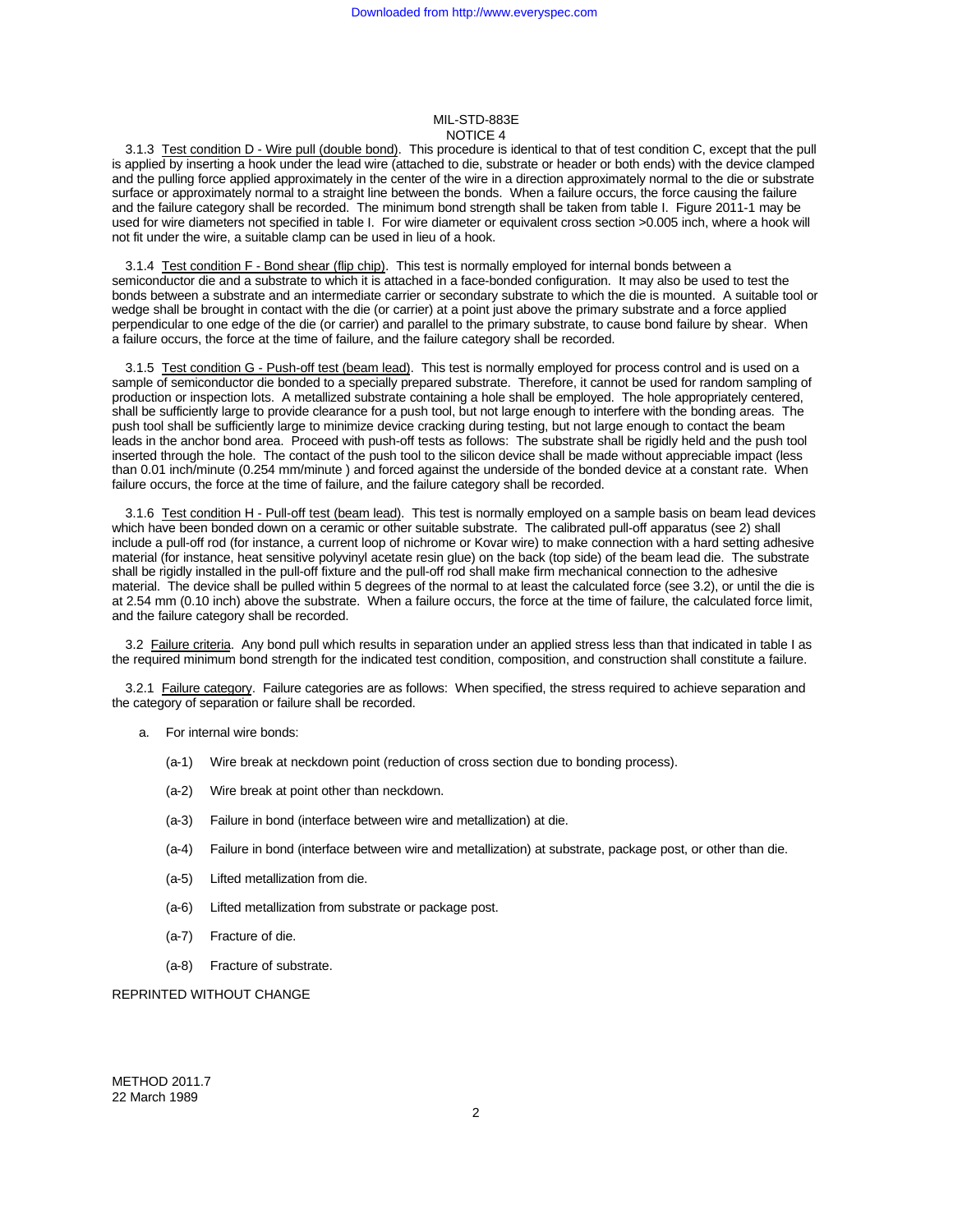3.1.3 Test condition D - Wire pull (double bond). This procedure is identical to that of test condition C, except that the pull is applied by inserting a hook under the lead wire (attached to die, substrate or header or both ends) with the device clamped and the pulling force applied approximately in the center of the wire in a direction approximately normal to the die or substrate surface or approximately normal to a straight line between the bonds. When a failure occurs, the force causing the failure and the failure category shall be recorded. The minimum bond strength shall be taken from table I. Figure 2011-1 may be used for wire diameters not specified in table I. For wire diameter or equivalent cross section >0.005 inch, where a hook will not fit under the wire, a suitable clamp can be used in lieu of a hook.

3.1.4 Test condition F - Bond shear (flip chip). This test is normally employed for internal bonds between a semiconductor die and a substrate to which it is attached in a face-bonded configuration. It may also be used to test the bonds between a substrate and an intermediate carrier or secondary substrate to which the die is mounted. A suitable tool or wedge shall be brought in contact with the die (or carrier) at a point just above the primary substrate and a force applied perpendicular to one edge of the die (or carrier) and parallel to the primary substrate, to cause bond failure by shear. When a failure occurs, the force at the time of failure, and the failure category shall be recorded.

3.1.5 Test condition G - Push-off test (beam lead). This test is normally employed for process control and is used on a sample of semiconductor die bonded to a specially prepared substrate. Therefore, it cannot be used for random sampling of production or inspection lots. A metallized substrate containing a hole shall be employed. The hole appropriately centered, shall be sufficiently large to provide clearance for a push tool, but not large enough to interfere with the bonding areas. The push tool shall be sufficiently large to minimize device cracking during testing, but not large enough to contact the beam leads in the anchor bond area. Proceed with push-off tests as follows: The substrate shall be rigidly held and the push tool inserted through the hole. The contact of the push tool to the silicon device shall be made without appreciable impact (less than 0.01 inch/minute (0.254 mm/minute ) and forced against the underside of the bonded device at a constant rate. When failure occurs, the force at the time of failure, and the failure category shall be recorded.

3.1.6 Test condition H - Pull-off test (beam lead). This test is normally employed on a sample basis on beam lead devices which have been bonded down on a ceramic or other suitable substrate. The calibrated pull-off apparatus (see 2) shall include a pull-off rod (for instance, a current loop of nichrome or Kovar wire) to make connection with a hard setting adhesive material (for instance, heat sensitive polyvinyl acetate resin glue) on the back (top side) of the beam lead die. The substrate shall be rigidly installed in the pull-off fixture and the pull-off rod shall make firm mechanical connection to the adhesive material. The device shall be pulled within 5 degrees of the normal to at least the calculated force (see 3.2), or until the die is at 2.54 mm (0.10 inch) above the substrate. When a failure occurs, the force at the time of failure, the calculated force limit, and the failure category shall be recorded.

3.2 Failure criteria. Any bond pull which results in separation under an applied stress less than that indicated in table I as the required minimum bond strength for the indicated test condition, composition, and construction shall constitute a failure.

3.2.1 Failure category. Failure categories are as follows: When specified, the stress required to achieve separation and the category of separation or failure shall be recorded.

- a. For internal wire bonds:
	- (a-1) Wire break at neckdown point (reduction of cross section due to bonding process).
	- (a-2) Wire break at point other than neckdown.
	- (a-3) Failure in bond (interface between wire and metallization) at die.
	- (a-4) Failure in bond (interface between wire and metallization) at substrate, package post, or other than die.
	- (a-5) Lifted metallization from die.
	- (a-6) Lifted metallization from substrate or package post.
	- (a-7) Fracture of die.
	- (a-8) Fracture of substrate.

REPRINTED WITHOUT CHANGE

METHOD 2011.7 22 March 1989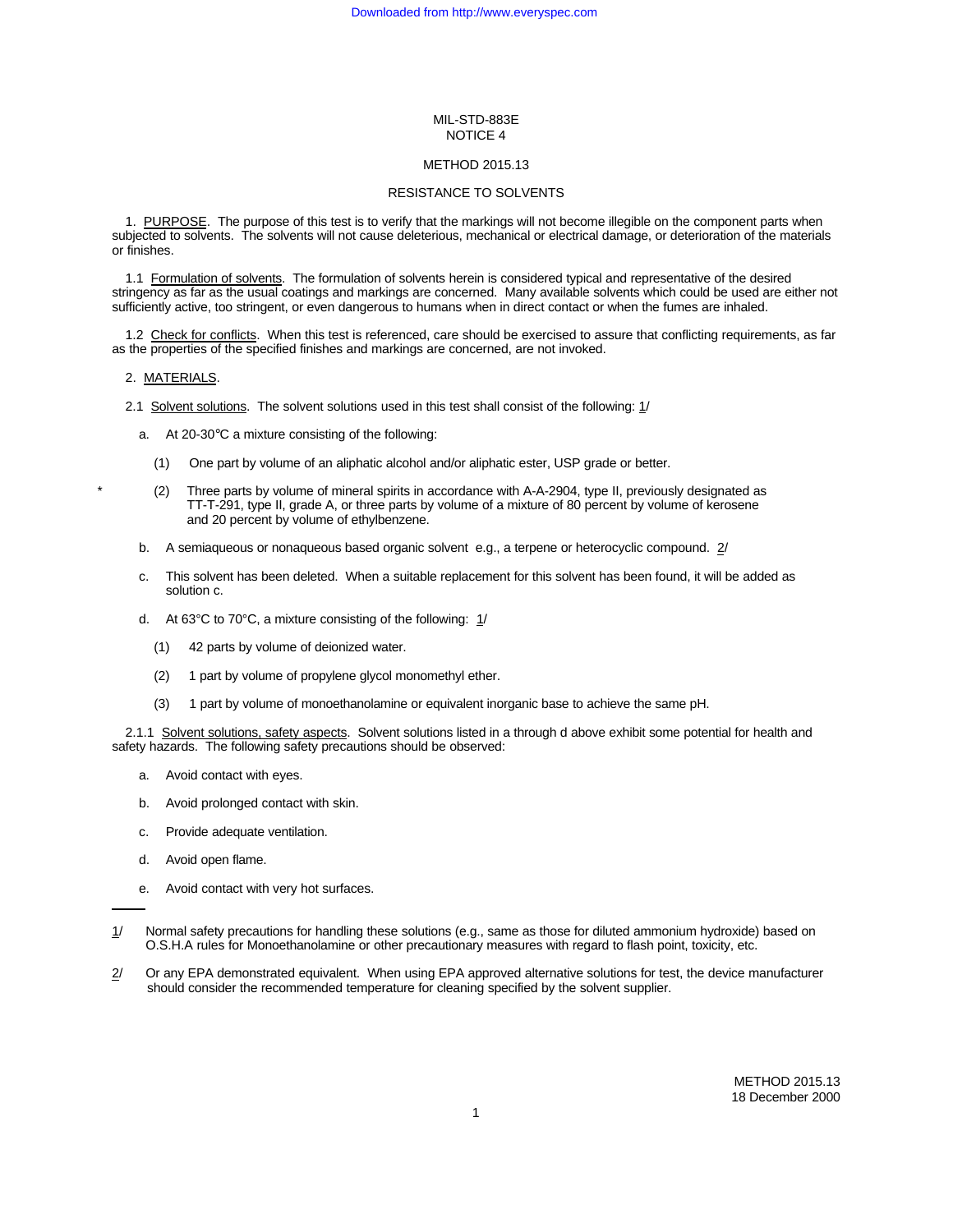#### METHOD 2015.13

#### RESISTANCE TO SOLVENTS

1. PURPOSE. The purpose of this test is to verify that the markings will not become illegible on the component parts when subjected to solvents. The solvents will not cause deleterious, mechanical or electrical damage, or deterioration of the materials or finishes.

1.1 Formulation of solvents. The formulation of solvents herein is considered typical and representative of the desired stringency as far as the usual coatings and markings are concerned. Many available solvents which could be used are either not sufficiently active, too stringent, or even dangerous to humans when in direct contact or when the fumes are inhaled.

1.2 Check for conflicts. When this test is referenced, care should be exercised to assure that conflicting requirements, as far as the properties of the specified finishes and markings are concerned, are not invoked.

#### 2. MATERIALS.

- 2.1 Solvent solutions. The solvent solutions used in this test shall consist of the following: 1/
	- a. At 20-30°C a mixture consisting of the following:
		- (1) One part by volume of an aliphatic alcohol and/or aliphatic ester, USP grade or better.
		- (2) Three parts by volume of mineral spirits in accordance with A-A-2904, type II, previously designated as TT-T-291, type II, grade A, or three parts by volume of a mixture of 80 percent by volume of kerosene and 20 percent by volume of ethylbenzene.
	- b. A semiaqueous or nonaqueous based organic solvent e.g., a terpene or heterocyclic compound. 2/
	- c. This solvent has been deleted. When a suitable replacement for this solvent has been found, it will be added as solution c.
	- d. At 63°C to 70°C, a mixture consisting of the following: 1/
		- (1) 42 parts by volume of deionized water.
		- (2) 1 part by volume of propylene glycol monomethyl ether.
		- (3) 1 part by volume of monoethanolamine or equivalent inorganic base to achieve the same pH.

2.1.1 Solvent solutions, safety aspects. Solvent solutions listed in a through d above exhibit some potential for health and safety hazards. The following safety precautions should be observed:

- a. Avoid contact with eyes.
- b. Avoid prolonged contact with skin.
- c. Provide adequate ventilation.
- d. Avoid open flame.

l

- e. Avoid contact with very hot surfaces.
- 1/ Normal safety precautions for handling these solutions (e.g., same as those for diluted ammonium hydroxide) based on O.S.H.A rules for Monoethanolamine or other precautionary measures with regard to flash point, toxicity, etc.
- 2/ Or any EPA demonstrated equivalent. When using EPA approved alternative solutions for test, the device manufacturer should consider the recommended temperature for cleaning specified by the solvent supplier.

METHOD 2015.13 18 December 2000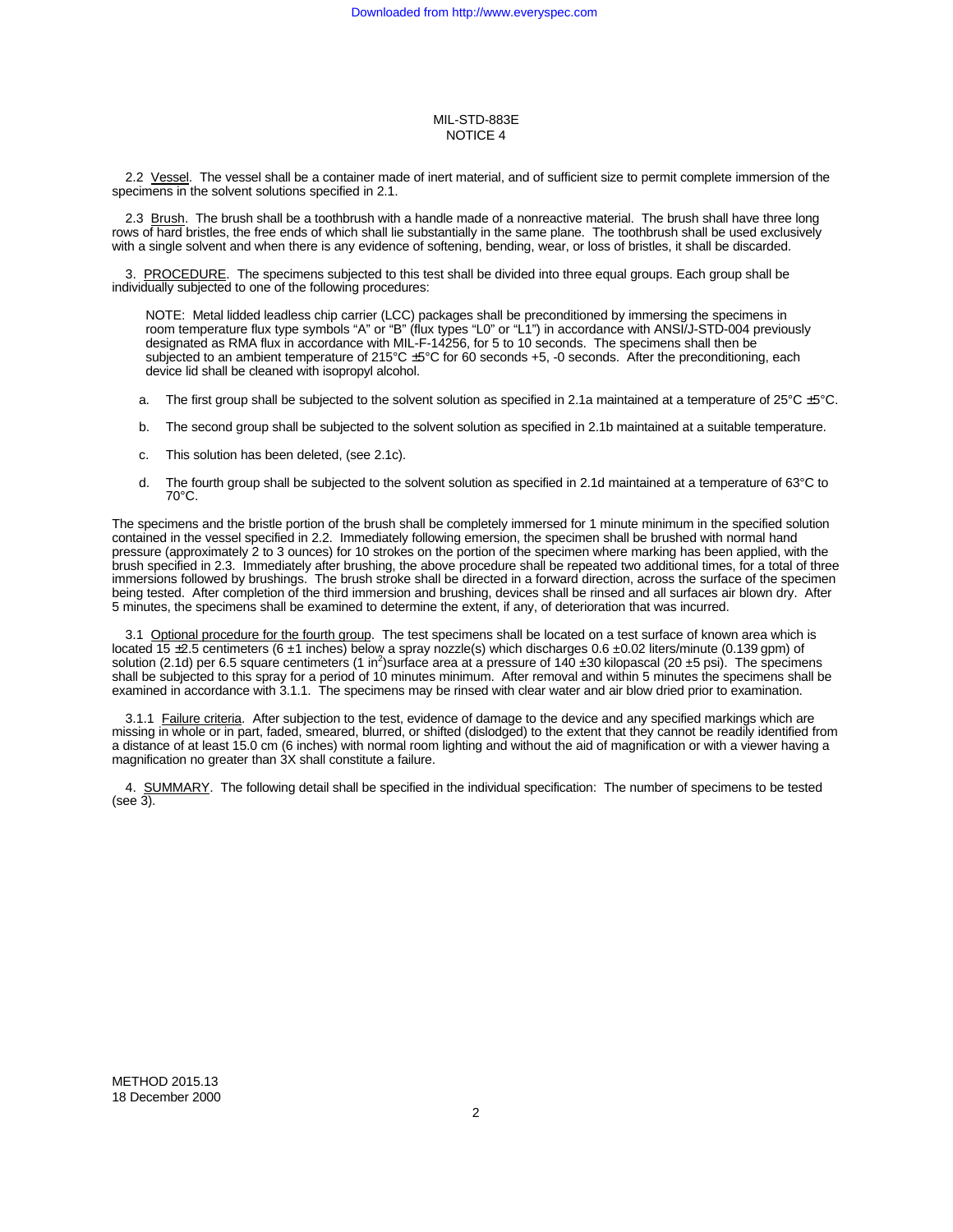2.2 Vessel. The vessel shall be a container made of inert material, and of sufficient size to permit complete immersion of the specimens in the solvent solutions specified in 2.1.

2.3 Brush. The brush shall be a toothbrush with a handle made of a nonreactive material. The brush shall have three long rows of hard bristles, the free ends of which shall lie substantially in the same plane. The toothbrush shall be used exclusively with a single solvent and when there is any evidence of softening, bending, wear, or loss of bristles, it shall be discarded.

3. PROCEDURE. The specimens subjected to this test shall be divided into three equal groups. Each group shall be individually subjected to one of the following procedures:

NOTE: Metal lidded leadless chip carrier (LCC) packages shall be preconditioned by immersing the specimens in room temperature flux type symbols "A" or "B" (flux types "L0" or "L1") in accordance with ANSI/J-STD-004 previously designated as RMA flux in accordance with MIL-F-14256, for 5 to 10 seconds. The specimens shall then be subjected to an ambient temperature of 215°C ±5°C for 60 seconds +5, -0 seconds. After the preconditioning, each device lid shall be cleaned with isopropyl alcohol.

- a. The first group shall be subjected to the solvent solution as specified in 2.1a maintained at a temperature of 25°C ±5°C.
- b. The second group shall be subjected to the solvent solution as specified in 2.1b maintained at a suitable temperature.
- c. This solution has been deleted, (see 2.1c).
- d. The fourth group shall be subjected to the solvent solution as specified in 2.1d maintained at a temperature of 63°C to 70°C.

The specimens and the bristle portion of the brush shall be completely immersed for 1 minute minimum in the specified solution contained in the vessel specified in 2.2. Immediately following emersion, the specimen shall be brushed with normal hand pressure (approximately 2 to 3 ounces) for 10 strokes on the portion of the specimen where marking has been applied, with the brush specified in 2.3. Immediately after brushing, the above procedure shall be repeated two additional times, for a total of three immersions followed by brushings. The brush stroke shall be directed in a forward direction, across the surface of the specimen being tested. After completion of the third immersion and brushing, devices shall be rinsed and all surfaces air blown dry. After 5 minutes, the specimens shall be examined to determine the extent, if any, of deterioration that was incurred.

3.1 Optional procedure for the fourth group. The test specimens shall be located on a test surface of known area which is located 15 ± 2.5 centimeters (6 ±1 inches) below a spray nozzle(s) which discharges 0.6 ± 0.02 liters/minute (0.139 gpm) of solution (2.1d) per 6.5 square centimeters (1 in<sup>2</sup>)surface area at a pressure of 140 ±30 kilopascal (20 ±5 psi). The specimens shall be subjected to this spray for a period of 10 minutes minimum. After removal and within 5 minutes the specimens shall be examined in accordance with 3.1.1. The specimens may be rinsed with clear water and air blow dried prior to examination.

3.1.1 Failure criteria. After subjection to the test, evidence of damage to the device and any specified markings which are missing in whole or in part, faded, smeared, blurred, or shifted (dislodged) to the extent that they cannot be readily identified from a distance of at least 15.0 cm (6 inches) with normal room lighting and without the aid of magnification or with a viewer having a magnification no greater than  $3X$  shall constitute a failure.

4. SUMMARY. The following detail shall be specified in the individual specification: The number of specimens to be tested (see 3).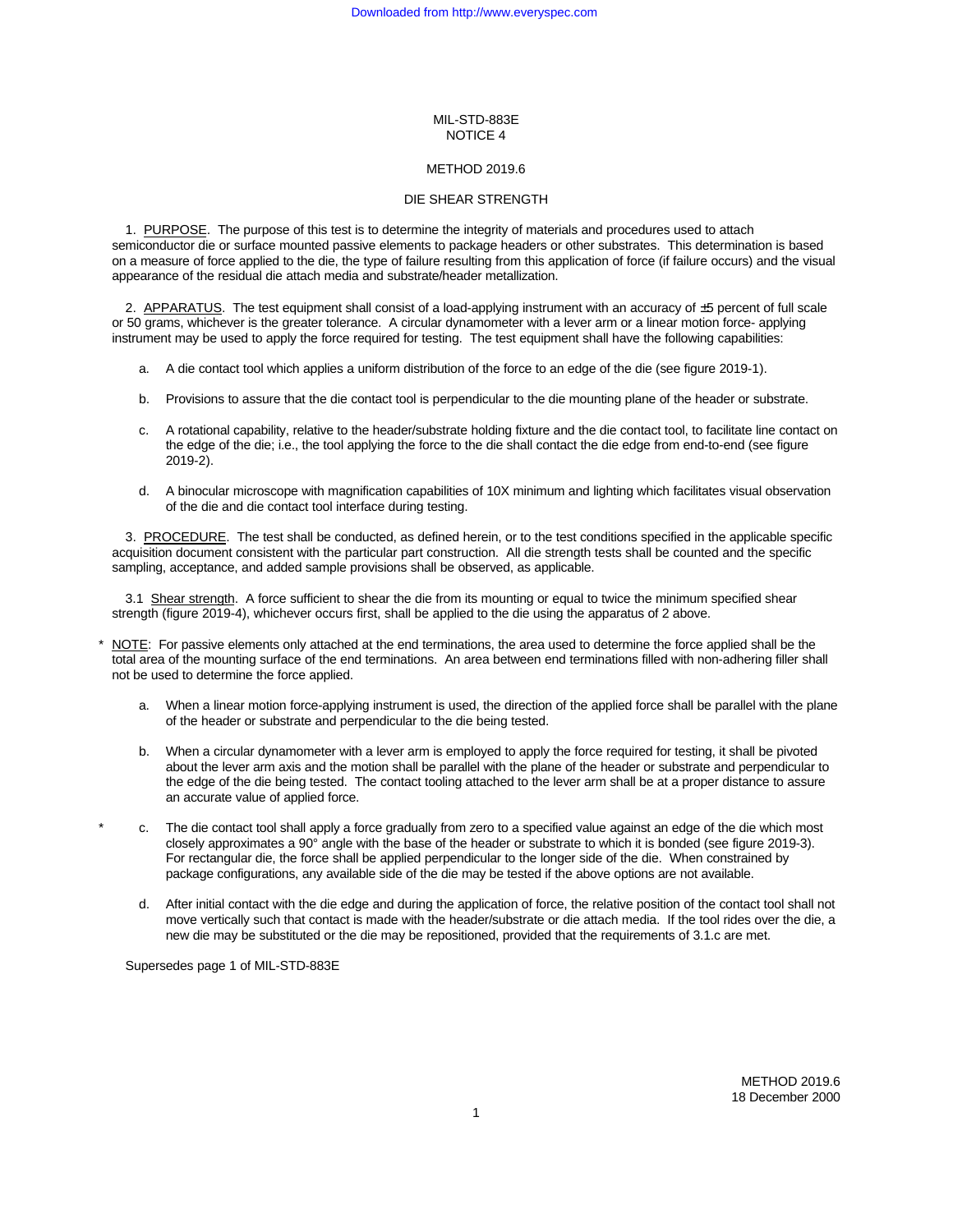#### METHOD 2019.6

#### DIE SHEAR STRENGTH

1. PURPOSE. The purpose of this test is to determine the integrity of materials and procedures used to attach semiconductor die or surface mounted passive elements to package headers or other substrates. This determination is based on a measure of force applied to the die, the type of failure resulting from this application of force (if failure occurs) and the visual appearance of the residual die attach media and substrate/header metallization.

2. APPARATUS. The test equipment shall consist of a load-applying instrument with an accuracy of ±5 percent of full scale or 50 grams, whichever is the greater tolerance. A circular dynamometer with a lever arm or a linear motion force- applying instrument may be used to apply the force required for testing. The test equipment shall have the following capabilities:

- a. A die contact tool which applies a uniform distribution of the force to an edge of the die (see figure 2019-1).
- b. Provisions to assure that the die contact tool is perpendicular to the die mounting plane of the header or substrate.
- c. A rotational capability, relative to the header/substrate holding fixture and the die contact tool, to facilitate line contact on the edge of the die; i.e., the tool applying the force to the die shall contact the die edge from end-to-end (see figure 2019-2).
- d. A binocular microscope with magnification capabilities of 10X minimum and lighting which facilitates visual observation of the die and die contact tool interface during testing.

3. PROCEDURE. The test shall be conducted, as defined herein, or to the test conditions specified in the applicable specific acquisition document consistent with the particular part construction. All die strength tests shall be counted and the specific sampling, acceptance, and added sample provisions shall be observed, as applicable.

3.1 Shear strength. A force sufficient to shear the die from its mounting or equal to twice the minimum specified shear strength (figure 2019-4), whichever occurs first, shall be applied to the die using the apparatus of 2 above.

NOTE: For passive elements only attached at the end terminations, the area used to determine the force applied shall be the total area of the mounting surface of the end terminations. An area between end terminations filled with non-adhering filler shall not be used to determine the force applied.

- a. When a linear motion force-applying instrument is used, the direction of the applied force shall be parallel with the plane of the header or substrate and perpendicular to the die being tested.
- When a circular dynamometer with a lever arm is employed to apply the force required for testing, it shall be pivoted about the lever arm axis and the motion shall be parallel with the plane of the header or substrate and perpendicular to the edge of the die being tested. The contact tooling attached to the lever arm shall be at a proper distance to assure an accurate value of applied force.
- c. The die contact tool shall apply a force gradually from zero to a specified value against an edge of the die which most closely approximates a 90° angle with the base of the header or substrate to which it is bonded (see figure 2019-3). For rectangular die, the force shall be applied perpendicular to the longer side of the die. When constrained by package configurations, any available side of the die may be tested if the above options are not available.
- d. After initial contact with the die edge and during the application of force, the relative position of the contact tool shall not move vertically such that contact is made with the header/substrate or die attach media. If the tool rides over the die, a new die may be substituted or the die may be repositioned, provided that the requirements of 3.1.c are met.

Supersedes page 1 of MIL-STD-883E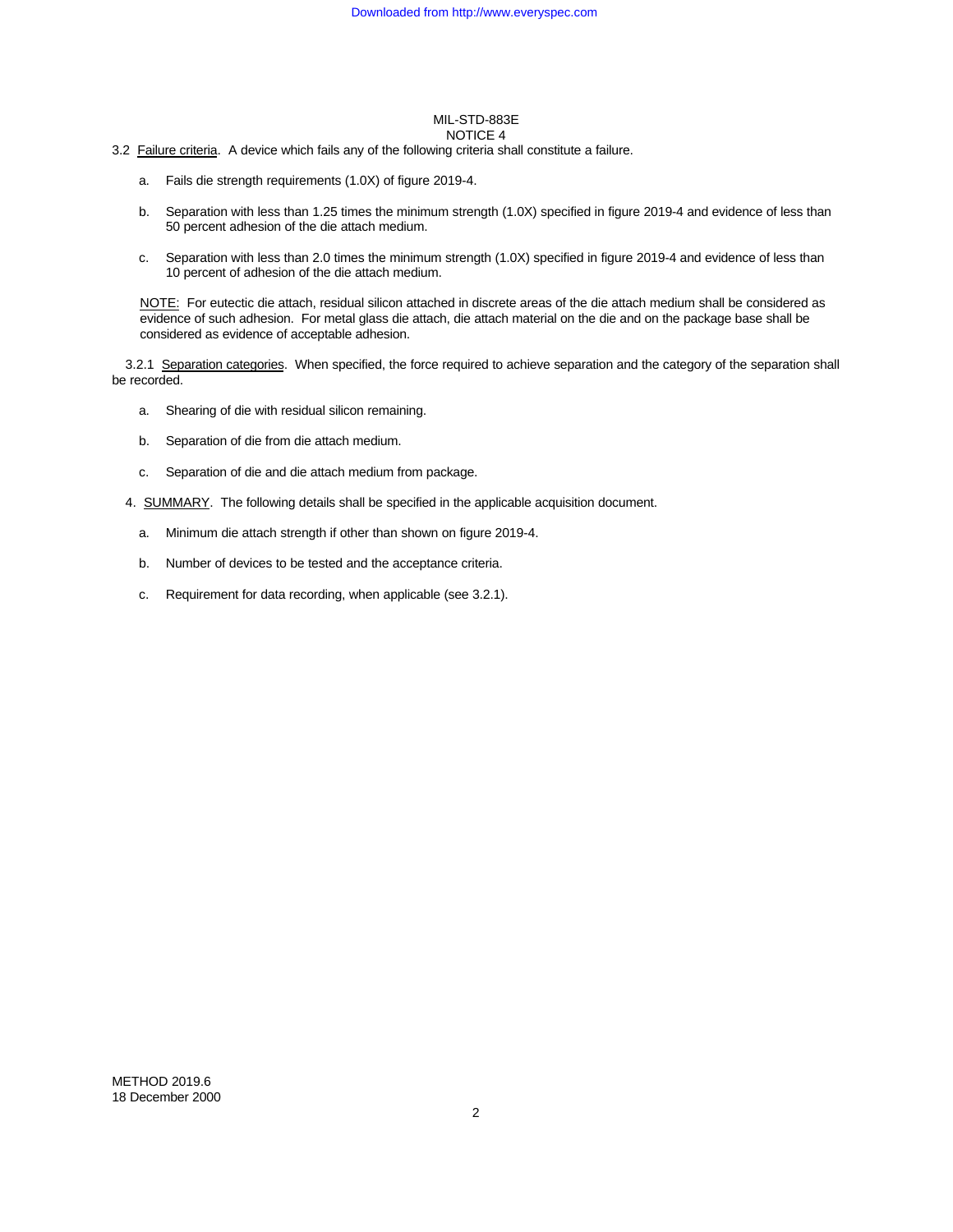- 3.2 Failure criteria. A device which fails any of the following criteria shall constitute a failure.
	- a. Fails die strength requirements (1.0X) of figure 2019-4.
	- b. Separation with less than 1.25 times the minimum strength (1.0X) specified in figure 2019-4 and evidence of less than 50 percent adhesion of the die attach medium.
	- c. Separation with less than 2.0 times the minimum strength (1.0X) specified in figure 2019-4 and evidence of less than 10 percent of adhesion of the die attach medium.

NOTE: For eutectic die attach, residual silicon attached in discrete areas of the die attach medium shall be considered as evidence of such adhesion. For metal glass die attach, die attach material on the die and on the package base shall be considered as evidence of acceptable adhesion.

3.2.1 Separation categories. When specified, the force required to achieve separation and the category of the separation shall be recorded.

- a. Shearing of die with residual silicon remaining.
- b. Separation of die from die attach medium.
- c. Separation of die and die attach medium from package.
- 4. SUMMARY. The following details shall be specified in the applicable acquisition document.
	- a. Minimum die attach strength if other than shown on figure 2019-4.
	- b. Number of devices to be tested and the acceptance criteria.
	- c. Requirement for data recording, when applicable (see 3.2.1).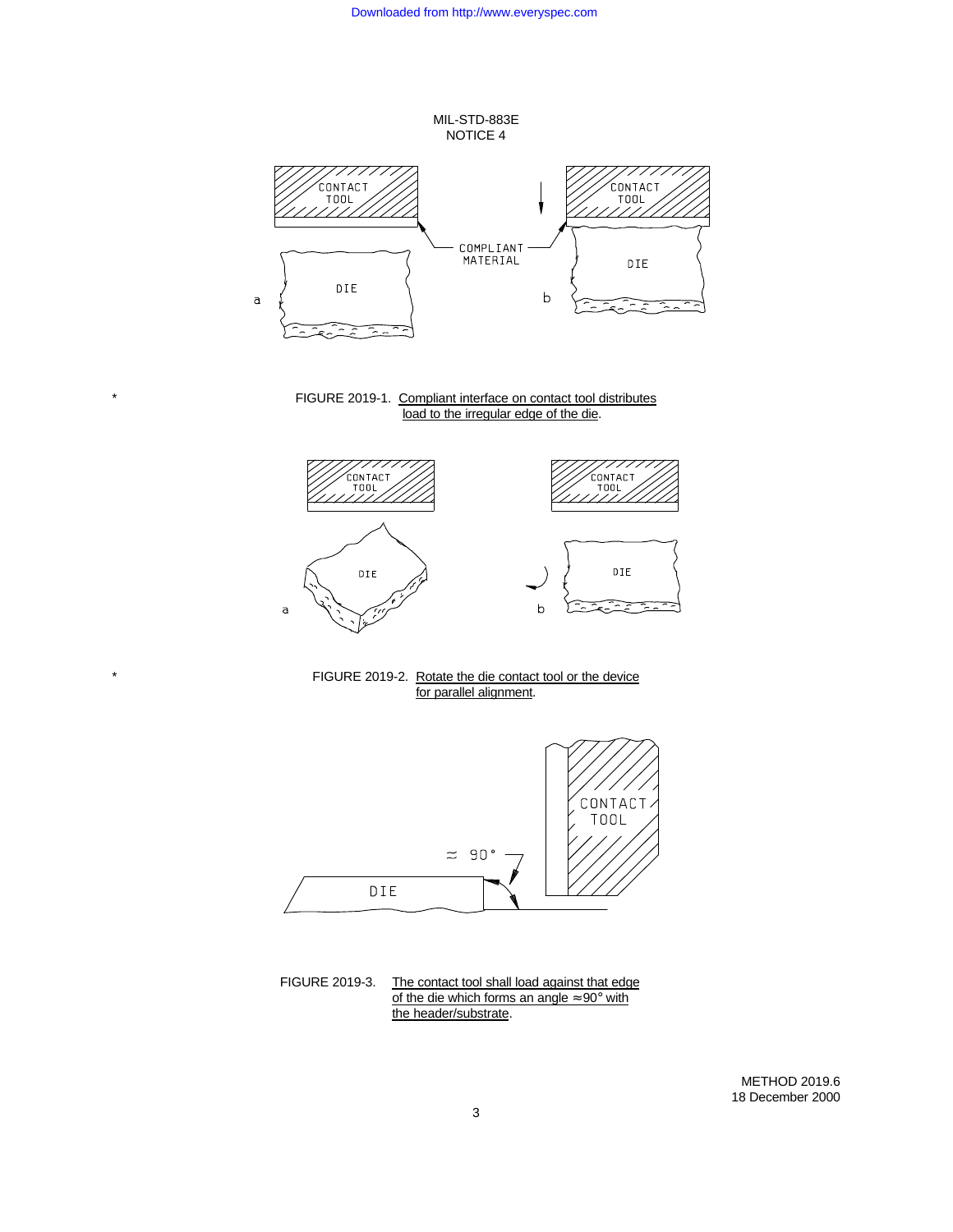







METHOD 2019.6 18 December 2000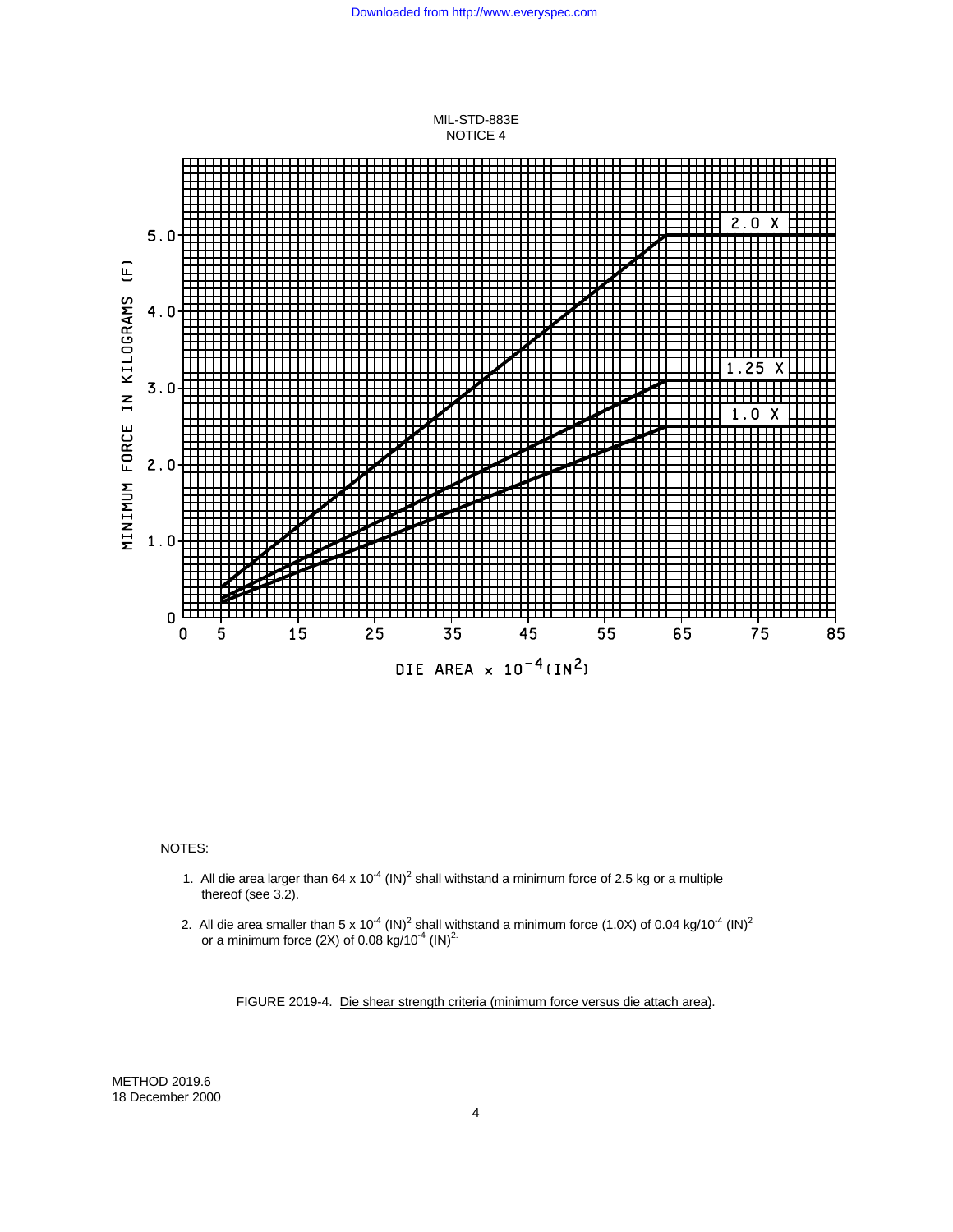

# NOTES:

- 1. All die area larger than 64 x 10<sup>-4</sup> (IN)<sup>2</sup> shall withstand a minimum force of 2.5 kg or a multiple thereof (see 3.2).
- 2. All die area smaller than 5 x 10<sup>-4</sup> (IN)<sup>2</sup> shall withstand a minimum force (1.0X) of 0.04 kg/10<sup>-4</sup> (IN)<sup>2</sup> or a minimum force (2X) of 0.08 kg/10<sup>-4</sup> (IN)<sup>2.</sup>

FIGURE 2019-4. Die shear strength criteria (minimum force versus die attach area).

METHOD 2019.6 18 December 2000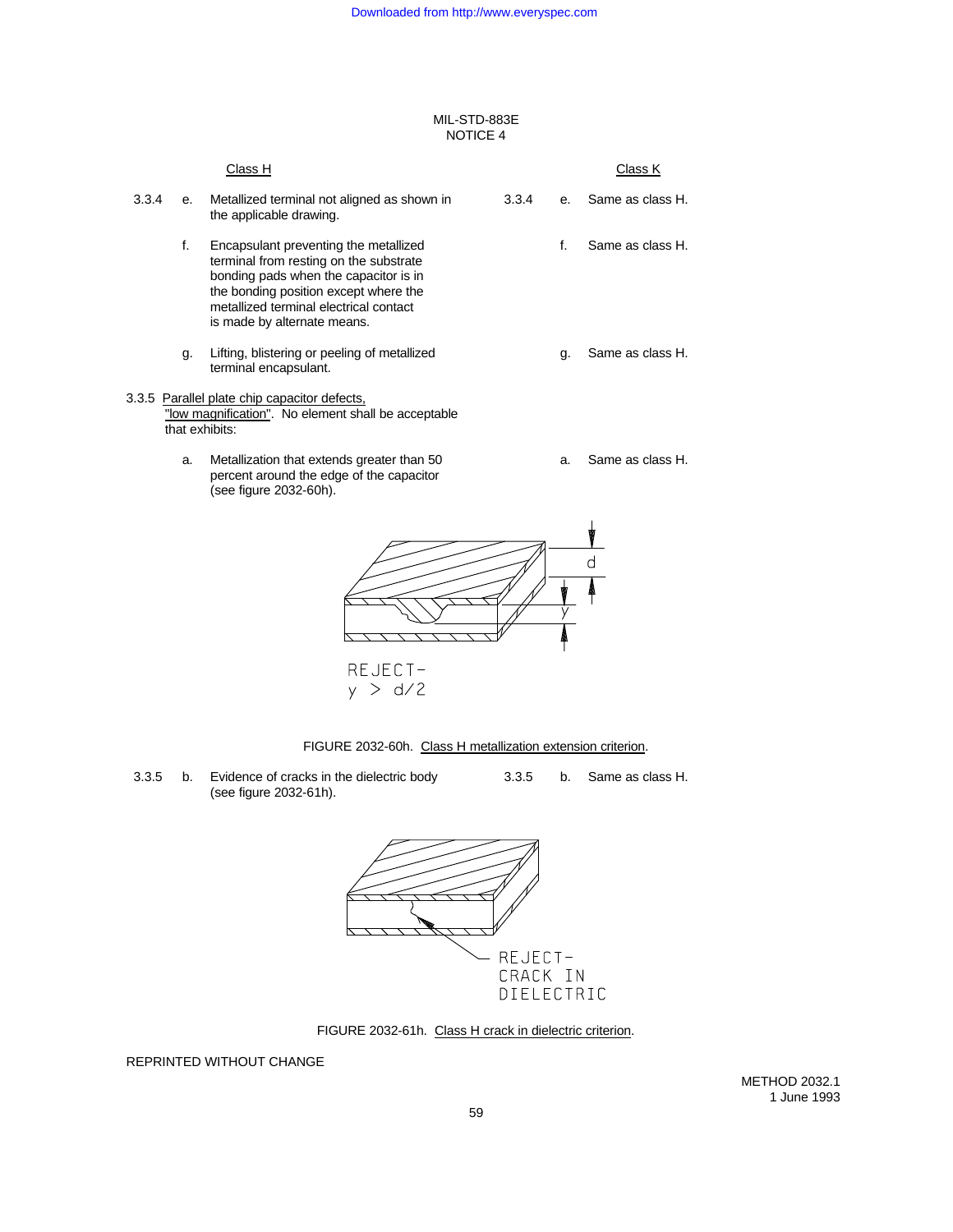|       |                | Class H                                                                                                                                                                                                                                    |       |             | Class K          |
|-------|----------------|--------------------------------------------------------------------------------------------------------------------------------------------------------------------------------------------------------------------------------------------|-------|-------------|------------------|
| 3.3.4 | е.             | Metallized terminal not aligned as shown in<br>the applicable drawing.                                                                                                                                                                     | 3.3.4 | e.          | Same as class H. |
|       | f.             | Encapsulant preventing the metallized<br>terminal from resting on the substrate<br>bonding pads when the capacitor is in<br>the bonding position except where the<br>metallized terminal electrical contact<br>is made by alternate means. |       | $f_{\cdot}$ | Same as class H. |
|       | g.             | Lifting, blistering or peeling of metallized<br>terminal encapsulant.                                                                                                                                                                      |       | g.          | Same as class H. |
|       | that exhibits: | 3.3.5 Parallel plate chip capacitor defects,<br>"low magnification". No element shall be acceptable                                                                                                                                        |       |             |                  |
|       | a.             | Metallization that extends greater than 50<br>percent around the edge of the capacitor<br>(see figure 2032-60h).                                                                                                                           |       | a.          | Same as class H. |
|       |                |                                                                                                                                                                                                                                            |       |             | d                |
|       |                | REJECT-                                                                                                                                                                                                                                    |       |             |                  |



 3.3.5 b. Evidence of cracks in the dielectric body 3.3.5 b. Same as class H. (see figure 2032-61h).

 $y > d/2$ 





REPRINTED WITHOUT CHANGE

METHOD 2032.1 1 June 1993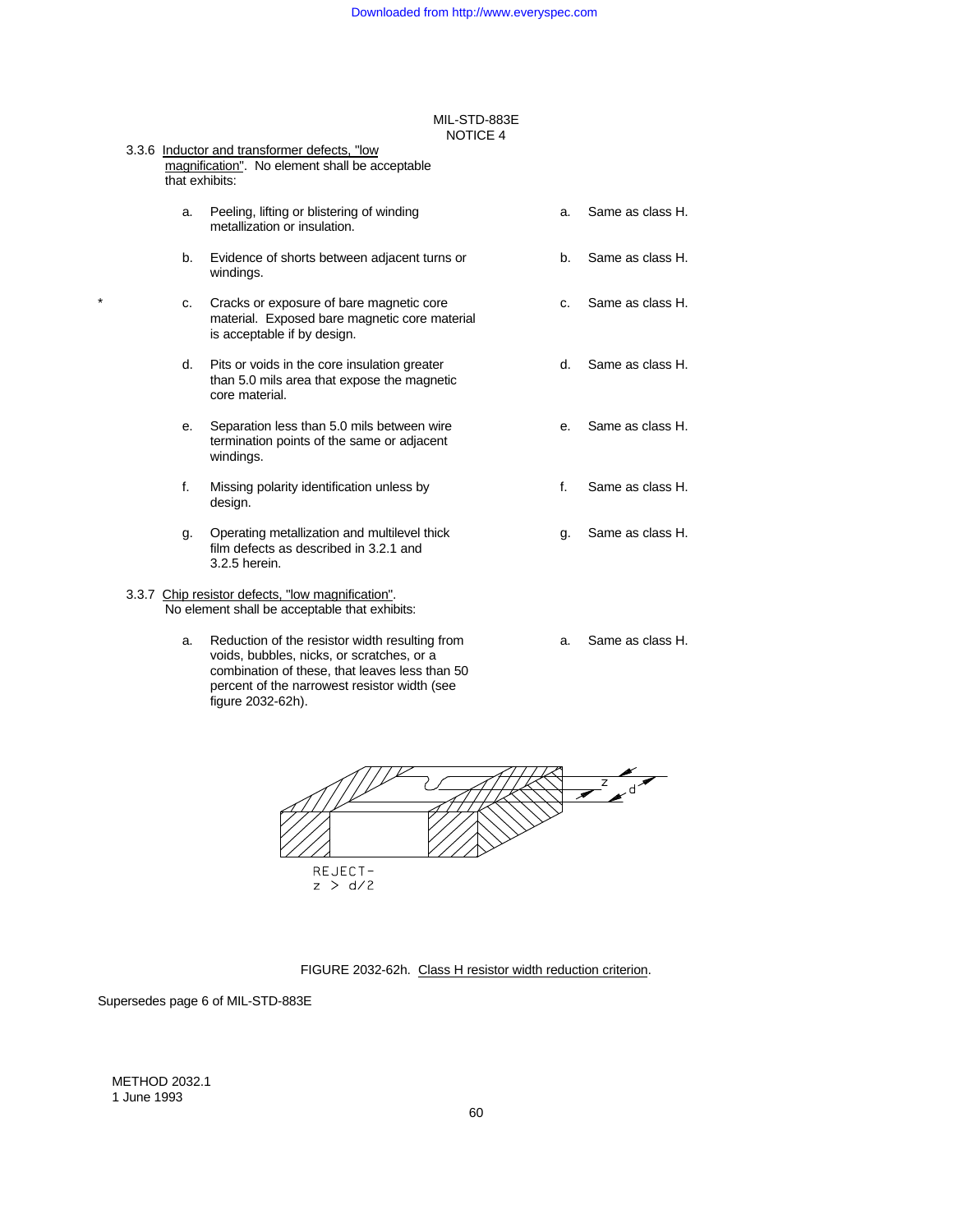| that exhibits: | 3.3.6 Inductor and transformer defects, "low<br>magnification". No element shall be acceptable                           |              |                  |
|----------------|--------------------------------------------------------------------------------------------------------------------------|--------------|------------------|
| a.             | Peeling, lifting or blistering of winding<br>metallization or insulation.                                                | a.           | Same as class H. |
| b.             | Evidence of shorts between adjacent turns or<br>windings.                                                                | b.           | Same as class H. |
| $C_{\cdot}$    | Cracks or exposure of bare magnetic core<br>material. Exposed bare magnetic core material<br>is acceptable if by design. | $C_{-}$      | Same as class H. |
| d.             | Pits or voids in the core insulation greater<br>than 5.0 mils area that expose the magnetic<br>core material.            | $\mathsf{d}$ | Same as class H. |
| е.             | Separation less than 5.0 mils between wire<br>termination points of the same or adjacent<br>windings.                    | e.           | Same as class H. |
| f.             | Missing polarity identification unless by<br>design.                                                                     | f.           | Same as class H. |
| g.             | Operating metallization and multilevel thick<br>film defects as described in 3.2.1 and<br>3.2.5 herein.                  | g.           | Same as class H. |
|                | 3.3.7 Chip resistor defects, "low magnification".<br>No element shall be acceptable that exhibits:                       |              |                  |

- a. Reduction of the resistor width resulting from **a.** Same as class H. voids, bubbles, nicks, or scratches, or a combination of these, that leaves less than 50 percent of the narrowest resistor width (see figure 2032-62h).
- 



FIGURE 2032-62h. Class H resistor width reduction criterion.

Supersedes page 6 of MIL-STD-883E

METHOD 2032.1 1 June 1993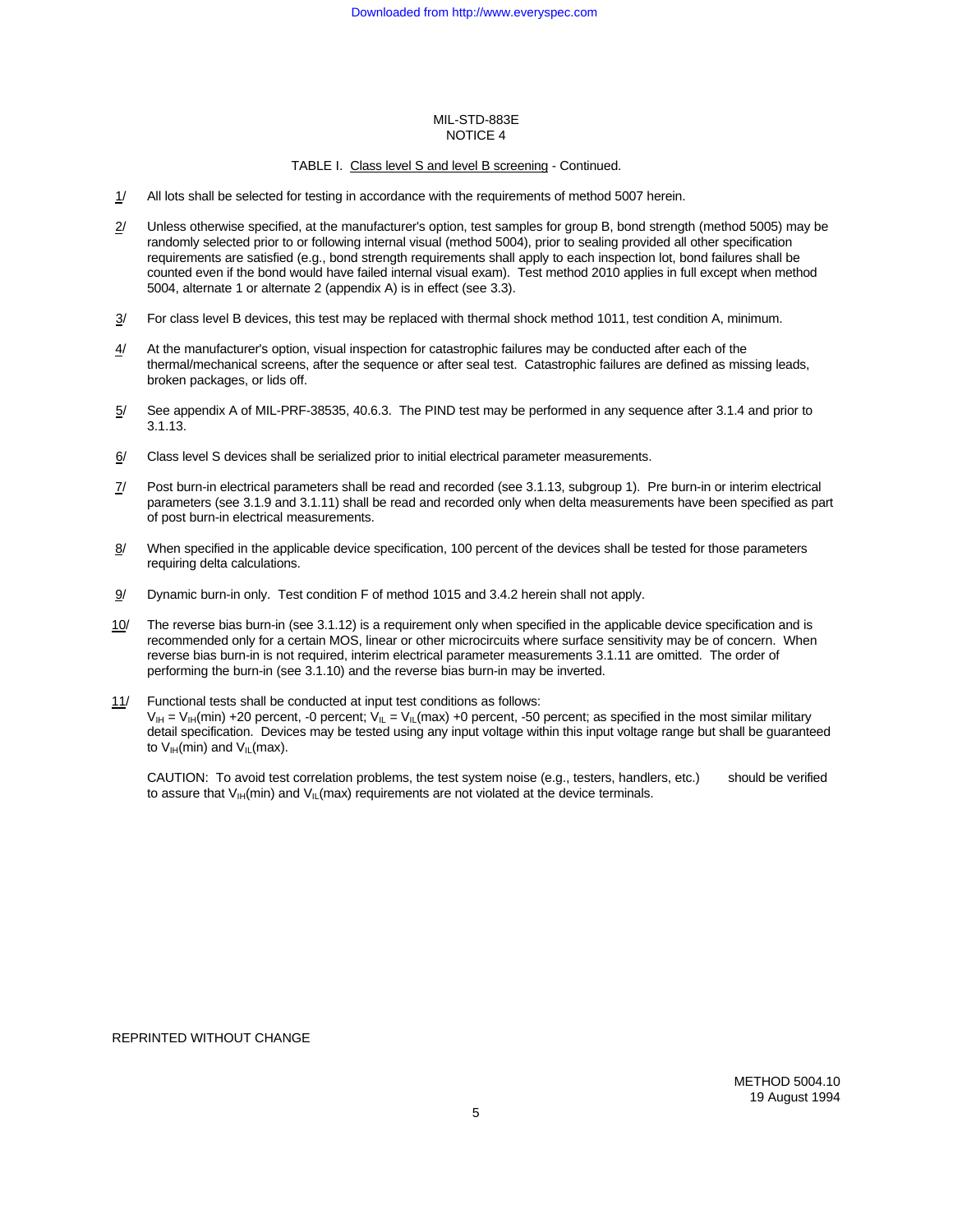#### TABLE I. Class level S and level B screening - Continued.

- 1/ All lots shall be selected for testing in accordance with the requirements of method 5007 herein.
- 2/ Unless otherwise specified, at the manufacturer's option, test samples for group B, bond strength (method 5005) may be randomly selected prior to or following internal visual (method 5004), prior to sealing provided all other specification requirements are satisfied (e.g., bond strength requirements shall apply to each inspection lot, bond failures shall be counted even if the bond would have failed internal visual exam). Test method 2010 applies in full except when method 5004, alternate 1 or alternate 2 (appendix A) is in effect (see 3.3).
- 3/ For class level B devices, this test may be replaced with thermal shock method 1011, test condition A, minimum.
- 4/ At the manufacturer's option, visual inspection for catastrophic failures may be conducted after each of the thermal/mechanical screens, after the sequence or after seal test. Catastrophic failures are defined as missing leads, broken packages, or lids off.
- 5/ See appendix A of MIL-PRF-38535, 40.6.3. The PIND test may be performed in any sequence after 3.1.4 and prior to 3.1.13.
- 6/ Class level S devices shall be serialized prior to initial electrical parameter measurements.
- $7/$  Post burn-in electrical parameters shall be read and recorded (see 3.1.13, subgroup 1). Pre burn-in or interim electrical parameters (see 3.1.9 and 3.1.11) shall be read and recorded only when delta measurements have been specified as part of post burn-in electrical measurements.
- 8/ When specified in the applicable device specification, 100 percent of the devices shall be tested for those parameters requiring delta calculations.
- 9/ Dynamic burn-in only. Test condition F of method 1015 and 3.4.2 herein shall not apply.
- 10/ The reverse bias burn-in (see 3.1.12) is a requirement only when specified in the applicable device specification and is recommended only for a certain MOS, linear or other microcircuits where surface sensitivity may be of concern. When reverse bias burn-in is not required, interim electrical parameter measurements 3.1.11 are omitted. The order of performing the burn-in (see 3.1.10) and the reverse bias burn-in may be inverted.
- 11/ Functional tests shall be conducted at input test conditions as follows:  $V_{II} = V_{II}$ (min) +20 percent, -0 percent;  $V_{II} = V_{II}$ (max) +0 percent, -50 percent; as specified in the most similar military detail specification. Devices may be tested using any input voltage within this input voltage range but shall be guaranteed to  $V_{\text{IH}}(min)$  and  $V_{\text{II}}(max)$ .

CAUTION: To avoid test correlation problems, the test system noise (e.g., testers, handlers, etc.) should be verified to assure that  $V_{\text{IH}}(min)$  and  $V_{\text{IL}}(max)$  requirements are not violated at the device terminals.

REPRINTED WITHOUT CHANGE

METHOD 5004.10 19 August 1994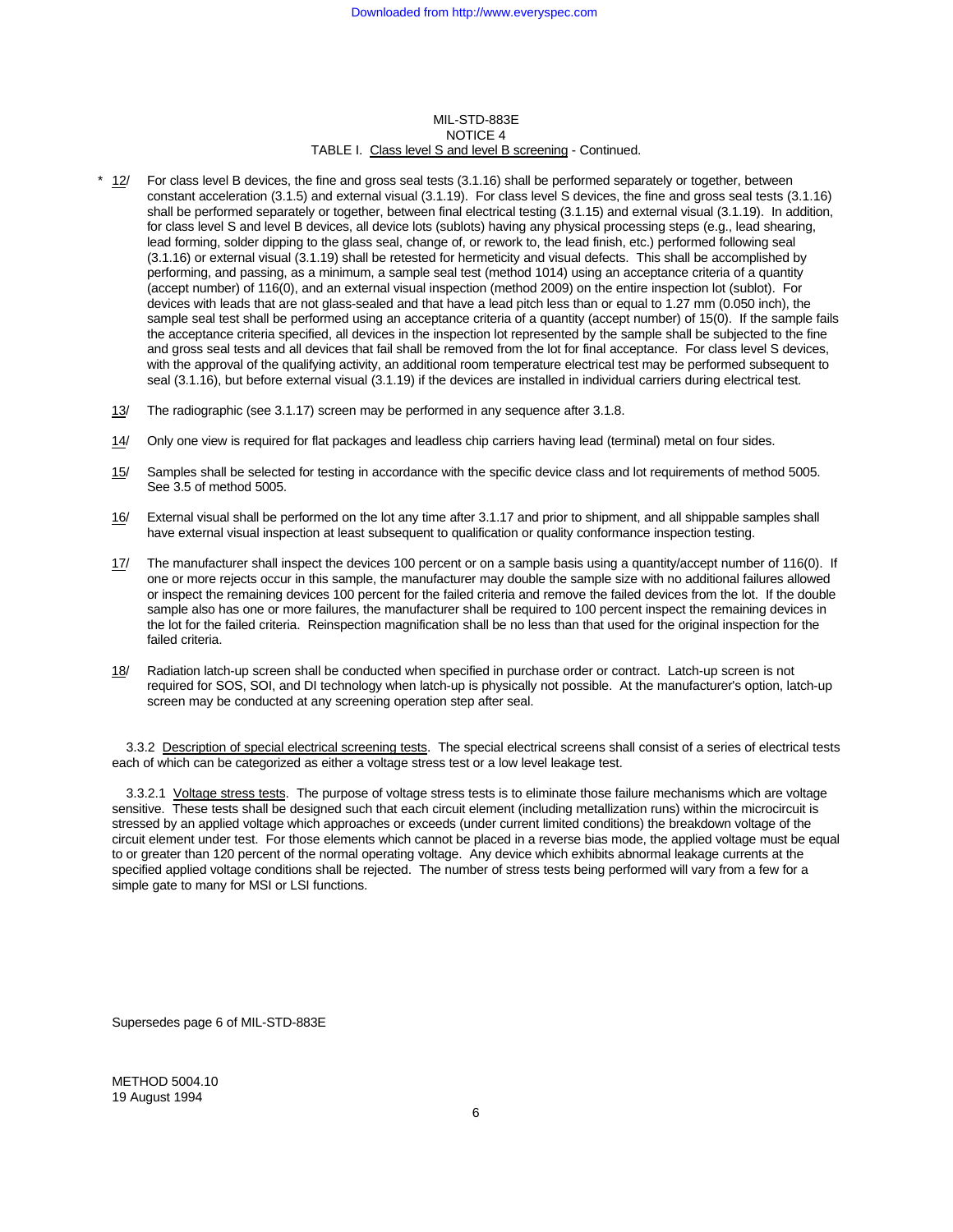## MIL-STD-883E NOTICE 4 TABLE I. Class level S and level B screening - Continued.

- \* 12/ For class level B devices, the fine and gross seal tests (3.1.16) shall be performed separately or together, between constant acceleration (3.1.5) and external visual (3.1.19). For class level S devices, the fine and gross seal tests (3.1.16) shall be performed separately or together, between final electrical testing (3.1.15) and external visual (3.1.19). In addition, for class level S and level B devices, all device lots (sublots) having any physical processing steps (e.g., lead shearing, lead forming, solder dipping to the glass seal, change of, or rework to, the lead finish, etc.) performed following seal (3.1.16) or external visual (3.1.19) shall be retested for hermeticity and visual defects. This shall be accomplished by performing, and passing, as a minimum, a sample seal test (method 1014) using an acceptance criteria of a quantity (accept number) of 116(0), and an external visual inspection (method 2009) on the entire inspection lot (sublot). For devices with leads that are not glass-sealed and that have a lead pitch less than or equal to 1.27 mm (0.050 inch), the sample seal test shall be performed using an acceptance criteria of a quantity (accept number) of 15(0). If the sample fails the acceptance criteria specified, all devices in the inspection lot represented by the sample shall be subjected to the fine and gross seal tests and all devices that fail shall be removed from the lot for final acceptance. For class level S devices, with the approval of the qualifying activity, an additional room temperature electrical test may be performed subsequent to seal (3.1.16), but before external visual (3.1.19) if the devices are installed in individual carriers during electrical test.
	- 13/ The radiographic (see 3.1.17) screen may be performed in any sequence after 3.1.8.
	- 14/ Only one view is required for flat packages and leadless chip carriers having lead (terminal) metal on four sides.
	- 15/ Samples shall be selected for testing in accordance with the specific device class and lot requirements of method 5005. See 3.5 of method 5005.
	- 16/ External visual shall be performed on the lot any time after 3.1.17 and prior to shipment, and all shippable samples shall have external visual inspection at least subsequent to qualification or quality conformance inspection testing.
	- 17/ The manufacturer shall inspect the devices 100 percent or on a sample basis using a quantity/accept number of 116(0). If one or more rejects occur in this sample, the manufacturer may double the sample size with no additional failures allowed or inspect the remaining devices 100 percent for the failed criteria and remove the failed devices from the lot. If the double sample also has one or more failures, the manufacturer shall be required to 100 percent inspect the remaining devices in the lot for the failed criteria. Reinspection magnification shall be no less than that used for the original inspection for the failed criteria.
	- 18/ Radiation latch-up screen shall be conducted when specified in purchase order or contract. Latch-up screen is not required for SOS, SOI, and DI technology when latch-up is physically not possible. At the manufacturer's option, latch-up screen may be conducted at any screening operation step after seal.

3.3.2 Description of special electrical screening tests. The special electrical screens shall consist of a series of electrical tests each of which can be categorized as either a voltage stress test or a low level leakage test.

3.3.2.1 Voltage stress tests. The purpose of voltage stress tests is to eliminate those failure mechanisms which are voltage sensitive. These tests shall be designed such that each circuit element (including metallization runs) within the microcircuit is stressed by an applied voltage which approaches or exceeds (under current limited conditions) the breakdown voltage of the circuit element under test. For those elements which cannot be placed in a reverse bias mode, the applied voltage must be equal to or greater than 120 percent of the normal operating voltage. Any device which exhibits abnormal leakage currents at the specified applied voltage conditions shall be rejected. The number of stress tests being performed will vary from a few for a simple gate to many for MSI or LSI functions.

Supersedes page 6 of MIL-STD-883E

METHOD 5004.10 19 August 1994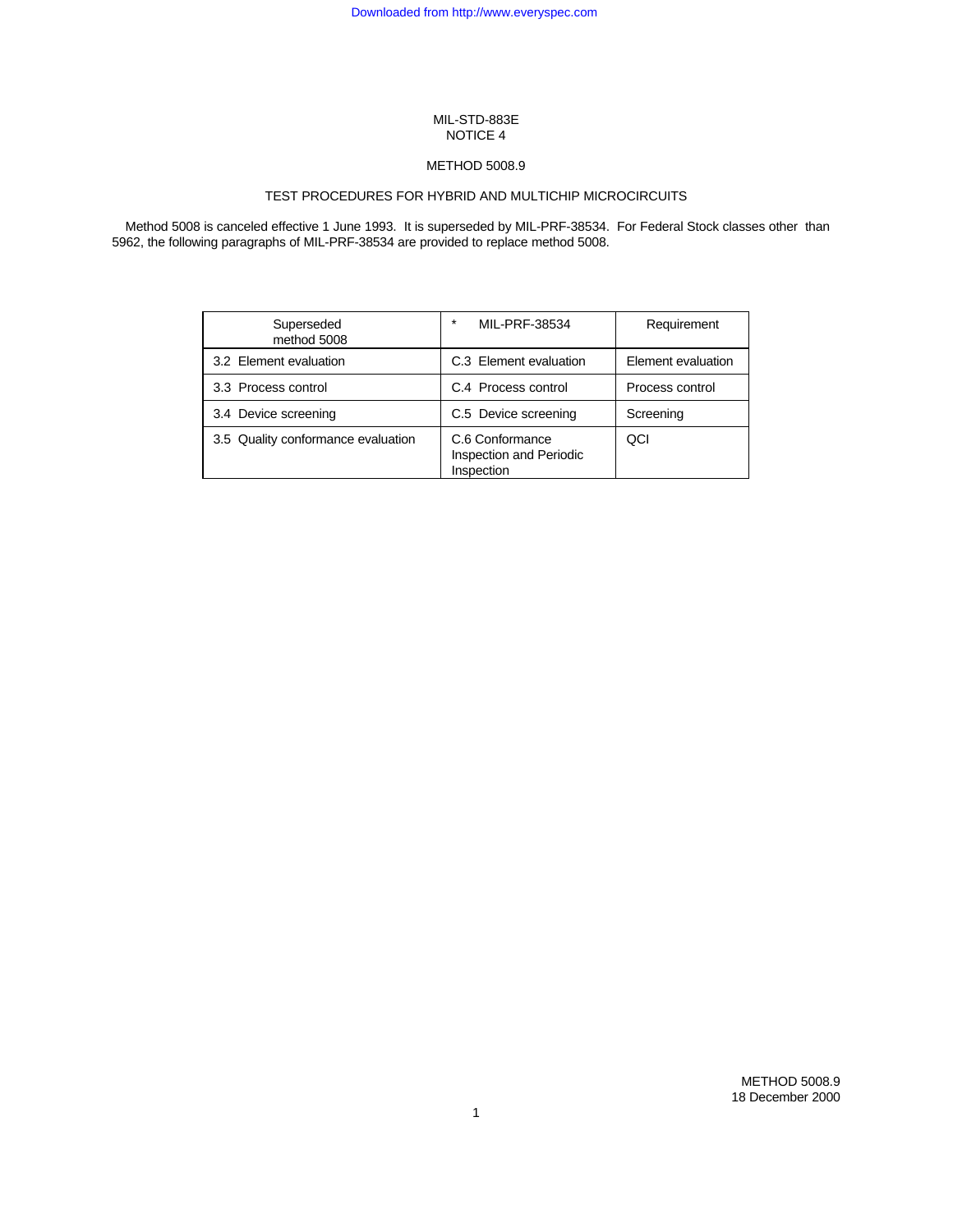## METHOD 5008.9

# TEST PROCEDURES FOR HYBRID AND MULTICHIP MICROCIRCUITS

Method 5008 is canceled effective 1 June 1993. It is superseded by MIL-PRF-38534. For Federal Stock classes other than 5962, the following paragraphs of MIL-PRF-38534 are provided to replace method 5008.

| Superseded<br>method 5008          | $\star$<br>MIL-PRF-38534                                 | Requirement        |
|------------------------------------|----------------------------------------------------------|--------------------|
| 3.2 Element evaluation             | C.3 Element evaluation                                   | Element evaluation |
| 3.3 Process control                | C.4 Process control                                      | Process control    |
| 3.4 Device screening               | C.5 Device screening                                     | Screening          |
| 3.5 Quality conformance evaluation | C.6 Conformance<br>Inspection and Periodic<br>Inspection | QCI                |

METHOD 5008.9 18 December 2000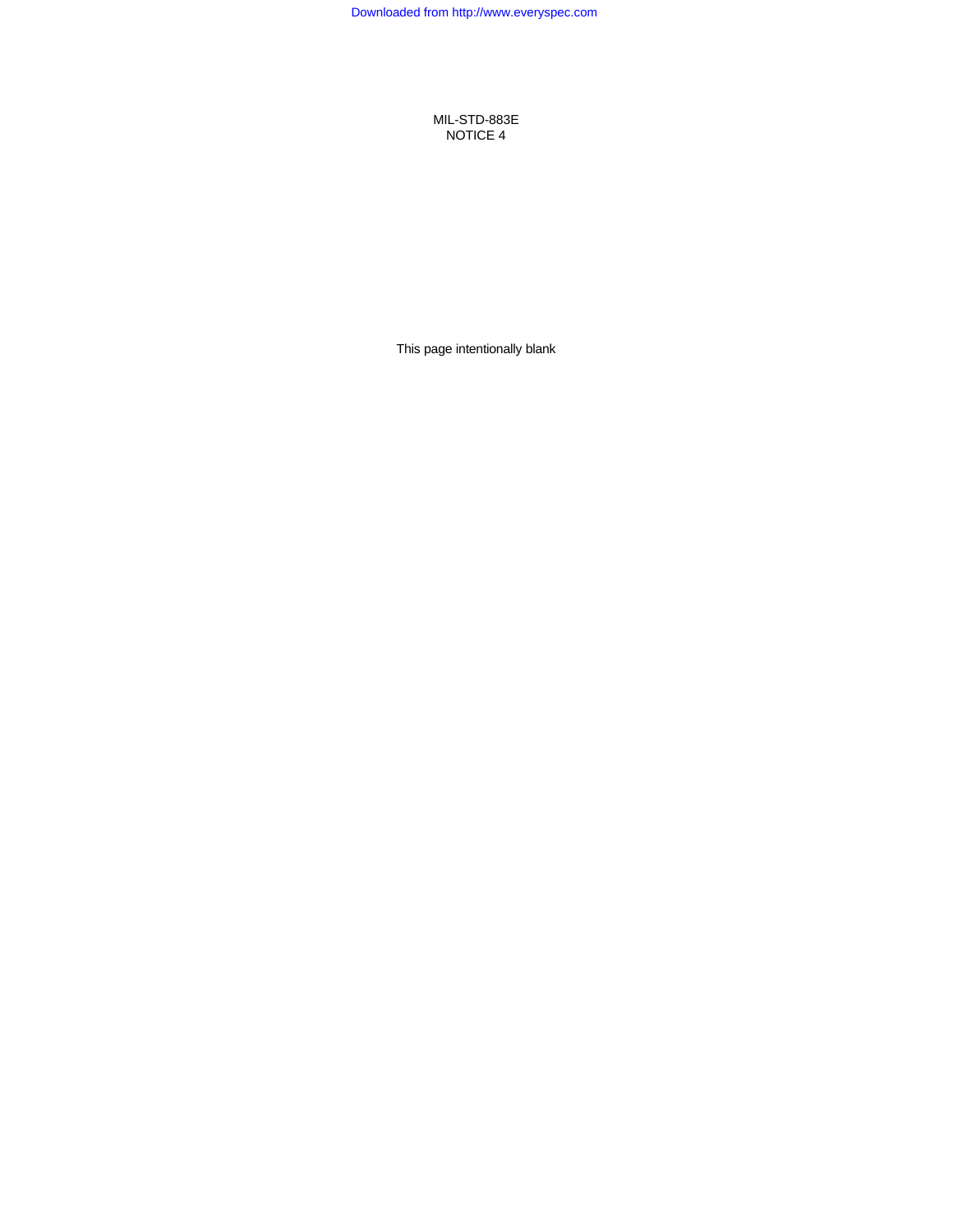This page intentionally blank